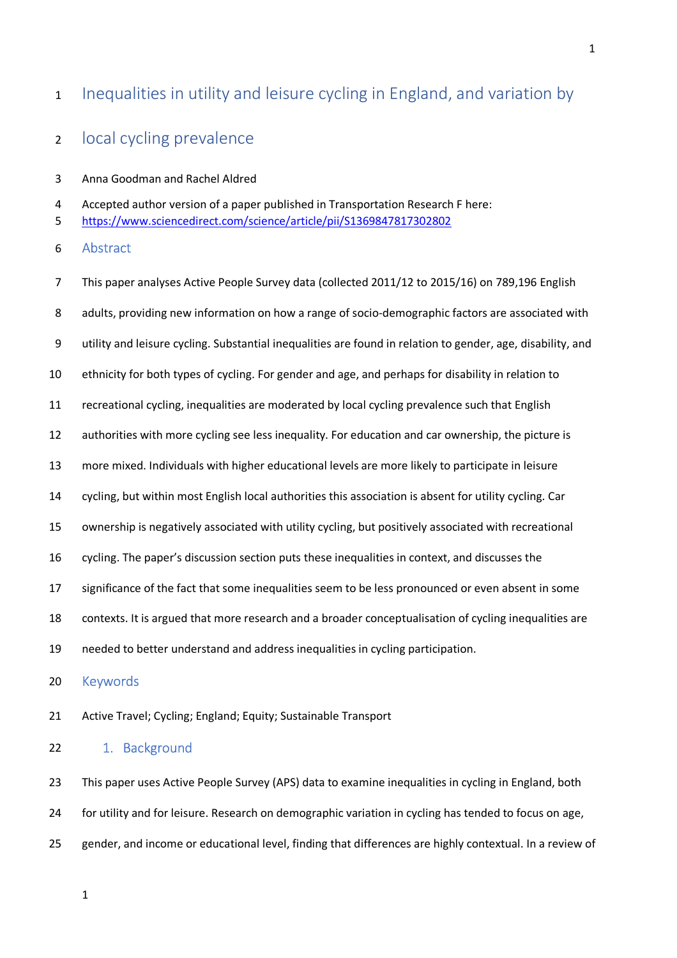# 1 Inequalities in utility and leisure cycling in England, and variation by

# 2 local cycling prevalence

3 Anna Goodman and Rachel Aldred

4 Accepted author version of a paper published in Transportation Research F here:

5 https://www.sciencedirect.com/science/article/pii/S1369847817302802

6 Abstract

7 This paper analyses Active People Survey data (collected 2011/12 to 2015/16) on 789,196 English 8 adults, providing new information on how a range of socio-demographic factors are associated with 9 utility and leisure cycling. Substantial inequalities are found in relation to gender, age, disability, and 10 ethnicity for both types of cycling. For gender and age, and perhaps for disability in relation to 11 recreational cycling, inequalities are moderated by local cycling prevalence such that English 12 authorities with more cycling see less inequality. For education and car ownership, the picture is 13 more mixed. Individuals with higher educational levels are more likely to participate in leisure 14 cycling, but within most English local authorities this association is absent for utility cycling. Car 15 ownership is negatively associated with utility cycling, but positively associated with recreational 16 cycling. The paper's discussion section puts these inequalities in context, and discusses the 17 significance of the fact that some inequalities seem to be less pronounced or even absent in some 18 contexts. It is argued that more research and a broader conceptualisation of cycling inequalities are 19 needed to better understand and address inequalities in cycling participation. 20 Keywords

21 Active Travel; Cycling; England; Equity; Sustainable Transport

## 22 1. Background

23 This paper uses Active People Survey (APS) data to examine inequalities in cycling in England, both 24 for utility and for leisure. Research on demographic variation in cycling has tended to focus on age, 25 gender, and income or educational level, finding that differences are highly contextual. In a review of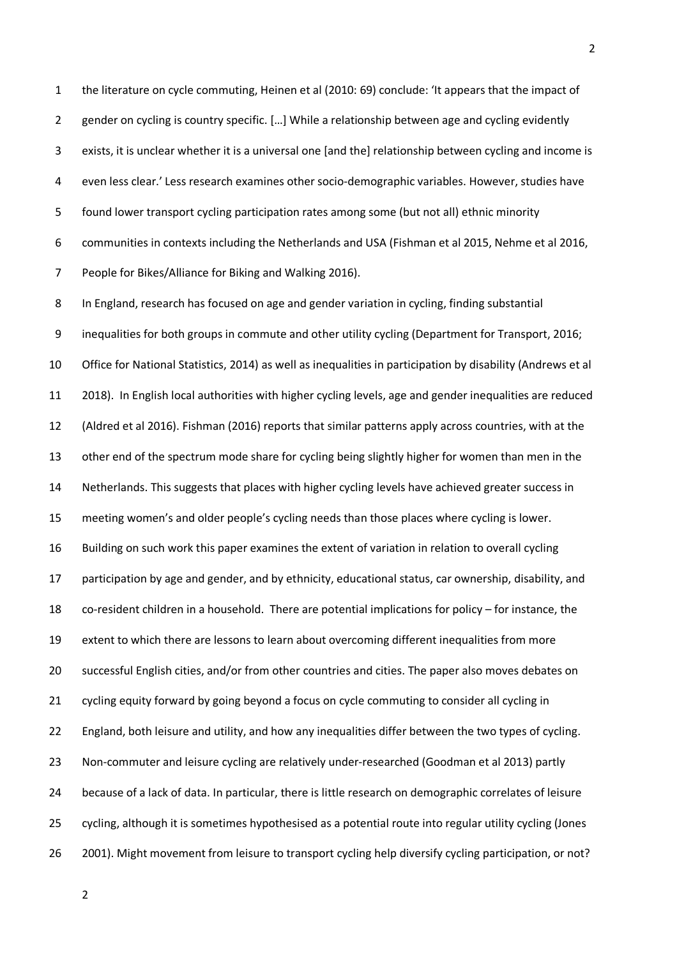1 the literature on cycle commuting, Heinen et al (2010: 69) conclude: 'It appears that the impact of 2 gender on cycling is country specific. […] While a relationship between age and cycling evidently 3 exists, it is unclear whether it is a universal one [and the] relationship between cycling and income is 4 even less clear.' Less research examines other socio-demographic variables. However, studies have 5 found lower transport cycling participation rates among some (but not all) ethnic minority 6 communities in contexts including the Netherlands and USA (Fishman et al 2015, Nehme et al 2016, 7 People for Bikes/Alliance for Biking and Walking 2016).

8 In England, research has focused on age and gender variation in cycling, finding substantial 9 inequalities for both groups in commute and other utility cycling (Department for Transport, 2016; 10 Office for National Statistics, 2014) as well as inequalities in participation by disability (Andrews et al 11 2018). In English local authorities with higher cycling levels, age and gender inequalities are reduced 12 (Aldred et al 2016). Fishman (2016) reports that similar patterns apply across countries, with at the 13 other end of the spectrum mode share for cycling being slightly higher for women than men in the 14 Netherlands. This suggests that places with higher cycling levels have achieved greater success in 15 meeting women's and older people's cycling needs than those places where cycling is lower. 16 Building on such work this paper examines the extent of variation in relation to overall cycling 17 participation by age and gender, and by ethnicity, educational status, car ownership, disability, and 18 co-resident children in a household. There are potential implications for policy – for instance, the 19 extent to which there are lessons to learn about overcoming different inequalities from more 20 successful English cities, and/or from other countries and cities. The paper also moves debates on 21 cycling equity forward by going beyond a focus on cycle commuting to consider all cycling in 22 England, both leisure and utility, and how any inequalities differ between the two types of cycling. 23 Non-commuter and leisure cycling are relatively under-researched (Goodman et al 2013) partly 24 because of a lack of data. In particular, there is little research on demographic correlates of leisure 25 cycling, although it is sometimes hypothesised as a potential route into regular utility cycling (Jones 26 2001). Might movement from leisure to transport cycling help diversify cycling participation, or not?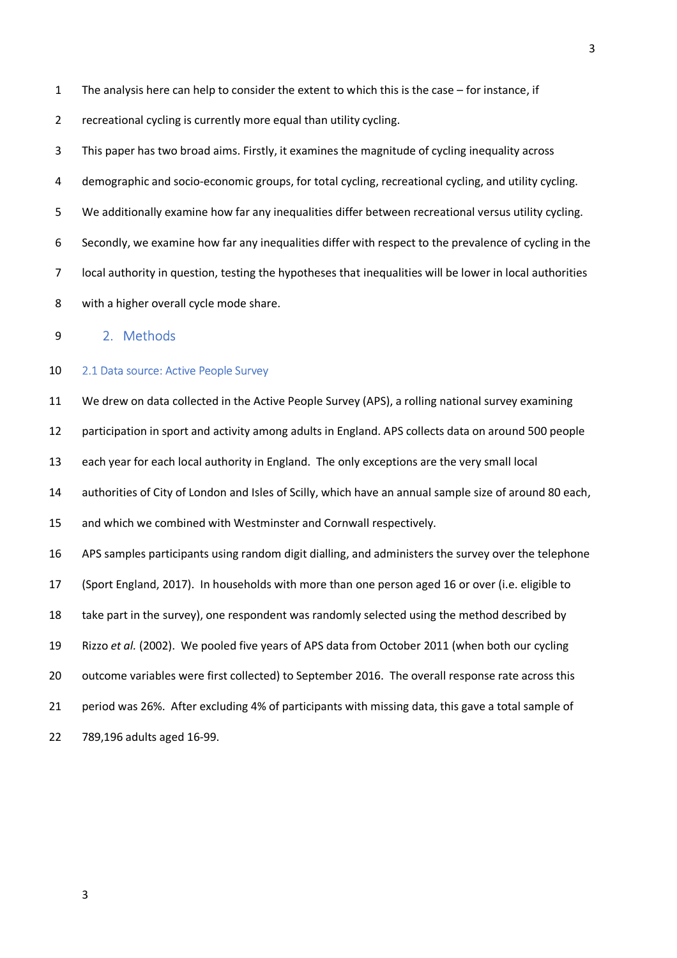1 The analysis here can help to consider the extent to which this is the case – for instance, if

2 recreational cycling is currently more equal than utility cycling.

3 This paper has two broad aims. Firstly, it examines the magnitude of cycling inequality across 4 demographic and socio-economic groups, for total cycling, recreational cycling, and utility cycling. 5 We additionally examine how far any inequalities differ between recreational versus utility cycling. 6 Secondly, we examine how far any inequalities differ with respect to the prevalence of cycling in the 7 local authority in question, testing the hypotheses that inequalities will be lower in local authorities 8 with a higher overall cycle mode share.

9 2. Methods

#### 10 2.1 Data source: Active People Survey

11 We drew on data collected in the Active People Survey (APS), a rolling national survey examining

12 participation in sport and activity among adults in England. APS collects data on around 500 people

13 each year for each local authority in England. The only exceptions are the very small local

14 authorities of City of London and Isles of Scilly, which have an annual sample size of around 80 each,

15 and which we combined with Westminster and Cornwall respectively.

16 APS samples participants using random digit dialling, and administers the survey over the telephone

17 (Sport England, 2017). In households with more than one person aged 16 or over (i.e. eligible to

18 take part in the survey), one respondent was randomly selected using the method described by

19 Rizzo *et al.* (2002). We pooled five years of APS data from October 2011 (when both our cycling

20 outcome variables were first collected) to September 2016. The overall response rate across this

21 period was 26%. After excluding 4% of participants with missing data, this gave a total sample of

22 789,196 adults aged 16-99.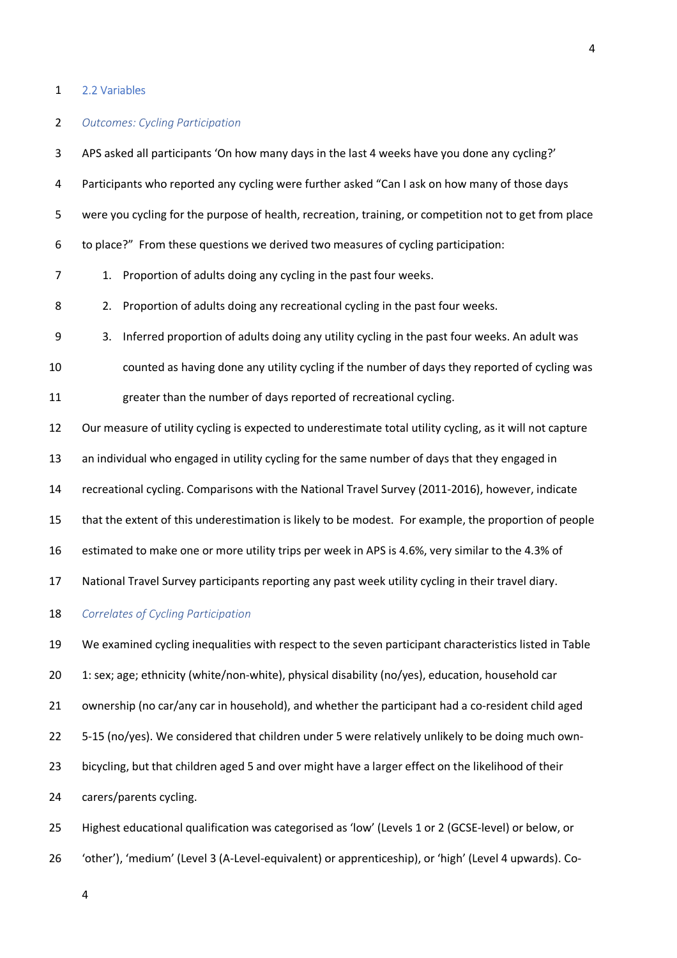#### 1 2.2 Variables

### 2 *Outcomes: Cycling Participation*

3 APS asked all participants 'On how many days in the last 4 weeks have you done any cycling?' 4 Participants who reported any cycling were further asked "Can I ask on how many of those days 5 were you cycling for the purpose of health, recreation, training, or competition not to get from place 6 to place?" From these questions we derived two measures of cycling participation: 7 1. Proportion of adults doing any cycling in the past four weeks. 8 2. Proportion of adults doing any recreational cycling in the past four weeks. 9 3. Inferred proportion of adults doing any utility cycling in the past four weeks. An adult was 10 counted as having done any utility cycling if the number of days they reported of cycling was 11 greater than the number of days reported of recreational cycling. 12 Our measure of utility cycling is expected to underestimate total utility cycling, as it will not capture 13 an individual who engaged in utility cycling for the same number of days that they engaged in 14 recreational cycling. Comparisons with the National Travel Survey (2011-2016), however, indicate 15 that the extent of this underestimation is likely to be modest. For example, the proportion of people 16 estimated to make one or more utility trips per week in APS is 4.6%, very similar to the 4.3% of 17 National Travel Survey participants reporting any past week utility cycling in their travel diary. 18 *Correlates of Cycling Participation*  19 We examined cycling inequalities with respect to the seven participant characteristics listed in Table 20 1: sex; age; ethnicity (white/non-white), physical disability (no/yes), education, household car 21 ownership (no car/any car in household), and whether the participant had a co-resident child aged

22 5-15 (no/yes). We considered that children under 5 were relatively unlikely to be doing much own-23 bicycling, but that children aged 5 and over might have a larger effect on the likelihood of their

24 carers/parents cycling.

25 Highest educational qualification was categorised as 'low' (Levels 1 or 2 (GCSE-level) or below, or 26 'other'), 'medium' (Level 3 (A-Level-equivalent) or apprenticeship), or 'high' (Level 4 upwards). Co-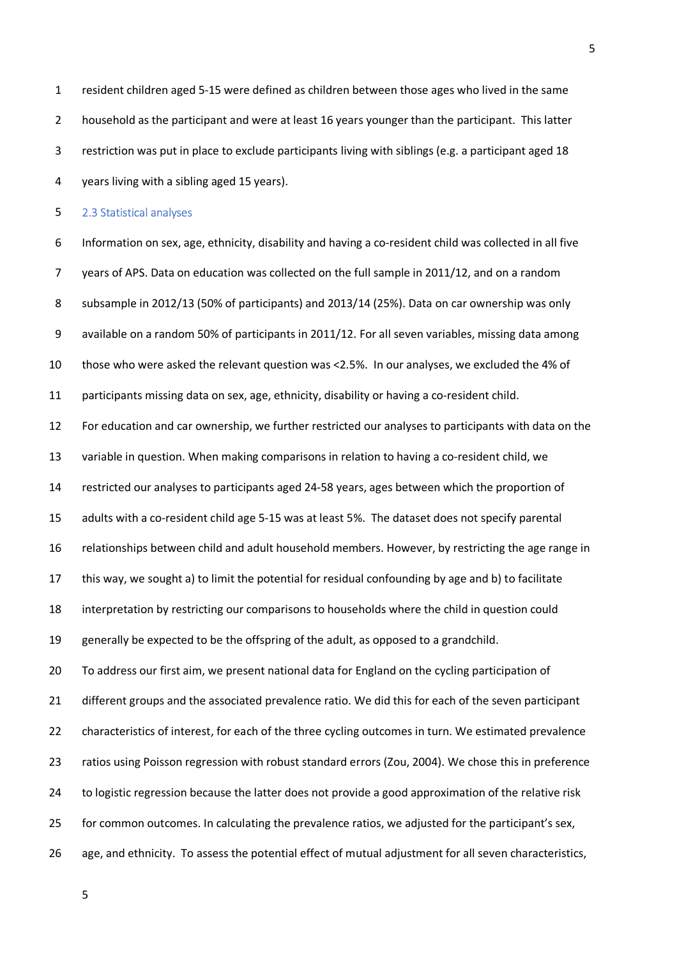1 resident children aged 5-15 were defined as children between those ages who lived in the same 2 household as the participant and were at least 16 years younger than the participant. This latter 3 restriction was put in place to exclude participants living with siblings (e.g. a participant aged 18 4 years living with a sibling aged 15 years).

5 2.3 Statistical analyses

6 Information on sex, age, ethnicity, disability and having a co-resident child was collected in all five 7 years of APS. Data on education was collected on the full sample in 2011/12, and on a random 8 subsample in 2012/13 (50% of participants) and 2013/14 (25%). Data on car ownership was only 9 available on a random 50% of participants in 2011/12. For all seven variables, missing data among 10 those who were asked the relevant question was <2.5%. In our analyses, we excluded the 4% of 11 participants missing data on sex, age, ethnicity, disability or having a co-resident child.

12 For education and car ownership, we further restricted our analyses to participants with data on the 13 variable in question. When making comparisons in relation to having a co-resident child, we

14 restricted our analyses to participants aged 24-58 years, ages between which the proportion of

15 adults with a co-resident child age 5-15 was at least 5%. The dataset does not specify parental

16 relationships between child and adult household members. However, by restricting the age range in

17 this way, we sought a) to limit the potential for residual confounding by age and b) to facilitate

18 interpretation by restricting our comparisons to households where the child in question could

19 generally be expected to be the offspring of the adult, as opposed to a grandchild.

20 To address our first aim, we present national data for England on the cycling participation of 21 different groups and the associated prevalence ratio. We did this for each of the seven participant

22 characteristics of interest, for each of the three cycling outcomes in turn. We estimated prevalence

23 ratios using Poisson regression with robust standard errors (Zou, 2004). We chose this in preference

24 to logistic regression because the latter does not provide a good approximation of the relative risk

25 for common outcomes. In calculating the prevalence ratios, we adjusted for the participant's sex,

26 age, and ethnicity. To assess the potential effect of mutual adjustment for all seven characteristics,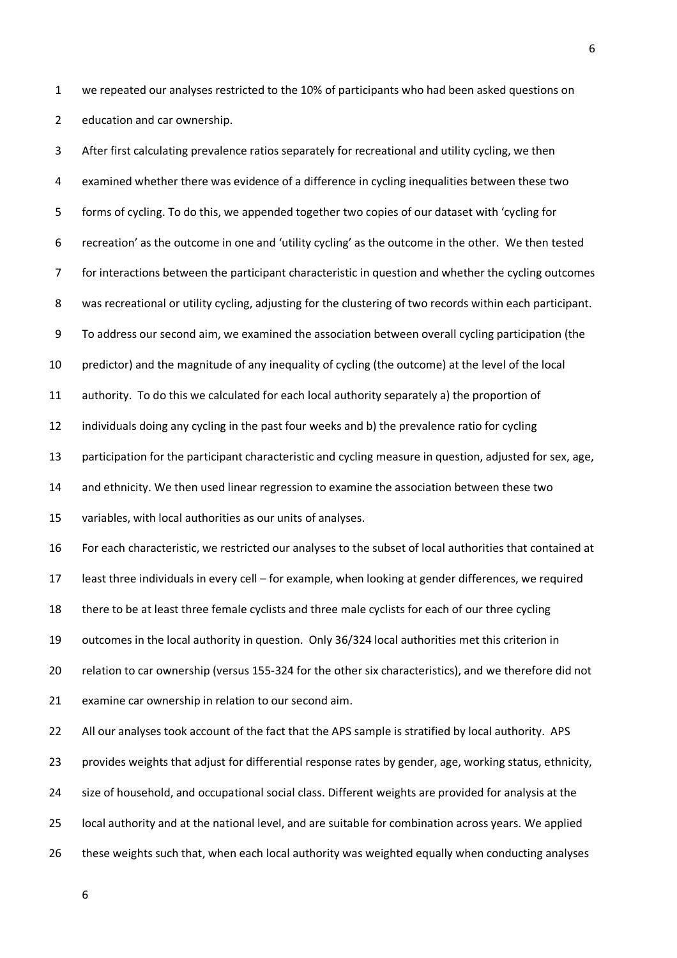1 we repeated our analyses restricted to the 10% of participants who had been asked questions on 2 education and car ownership.

3 After first calculating prevalence ratios separately for recreational and utility cycling, we then 4 examined whether there was evidence of a difference in cycling inequalities between these two 5 forms of cycling. To do this, we appended together two copies of our dataset with 'cycling for 6 recreation' as the outcome in one and 'utility cycling' as the outcome in the other. We then tested 7 for interactions between the participant characteristic in question and whether the cycling outcomes 8 was recreational or utility cycling, adjusting for the clustering of two records within each participant. 9 To address our second aim, we examined the association between overall cycling participation (the 10 predictor) and the magnitude of any inequality of cycling (the outcome) at the level of the local 11 authority. To do this we calculated for each local authority separately a) the proportion of 12 individuals doing any cycling in the past four weeks and b) the prevalence ratio for cycling 13 participation for the participant characteristic and cycling measure in question, adjusted for sex, age, 14 and ethnicity. We then used linear regression to examine the association between these two 15 variables, with local authorities as our units of analyses. 16 For each characteristic, we restricted our analyses to the subset of local authorities that contained at 17 least three individuals in every cell – for example, when looking at gender differences, we required 18 there to be at least three female cyclists and three male cyclists for each of our three cycling 19 outcomes in the local authority in question. Only 36/324 local authorities met this criterion in 20 relation to car ownership (versus 155-324 for the other six characteristics), and we therefore did not 21 examine car ownership in relation to our second aim. 22 All our analyses took account of the fact that the APS sample is stratified by local authority. APS 23 provides weights that adjust for differential response rates by gender, age, working status, ethnicity, 24 size of household, and occupational social class. Different weights are provided for analysis at the 25 local authority and at the national level, and are suitable for combination across years. We applied 26 these weights such that, when each local authority was weighted equally when conducting analyses

6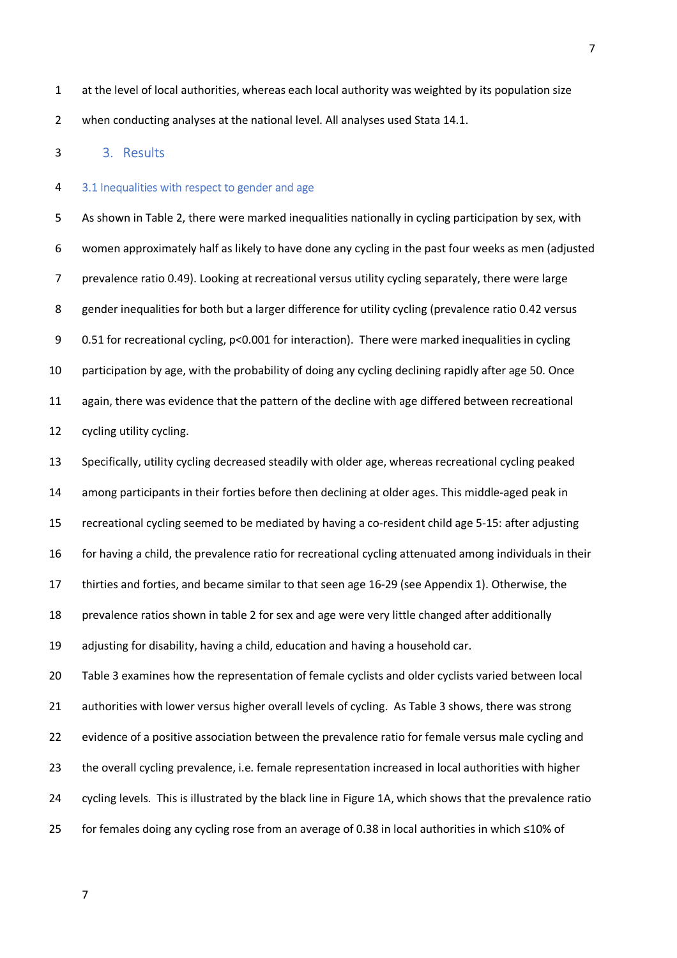1 at the level of local authorities, whereas each local authority was weighted by its population size 2 when conducting analyses at the national level. All analyses used Stata 14.1.

#### 3 3. Results

#### 4 3.1 Inequalities with respect to gender and age

5 As shown in Table 2, there were marked inequalities nationally in cycling participation by sex, with 6 women approximately half as likely to have done any cycling in the past four weeks as men (adjusted 7 prevalence ratio 0.49). Looking at recreational versus utility cycling separately, there were large 8 gender inequalities for both but a larger difference for utility cycling (prevalence ratio 0.42 versus 9 0.51 for recreational cycling, p<0.001 for interaction). There were marked inequalities in cycling 10 participation by age, with the probability of doing any cycling declining rapidly after age 50. Once 11 again, there was evidence that the pattern of the decline with age differed between recreational 12 cycling utility cycling.

13 Specifically, utility cycling decreased steadily with older age, whereas recreational cycling peaked 14 among participants in their forties before then declining at older ages. This middle-aged peak in 15 recreational cycling seemed to be mediated by having a co-resident child age 5-15: after adjusting 16 for having a child, the prevalence ratio for recreational cycling attenuated among individuals in their 17 thirties and forties, and became similar to that seen age 16-29 (see Appendix 1). Otherwise, the 18 prevalence ratios shown in table 2 for sex and age were very little changed after additionally 19 adjusting for disability, having a child, education and having a household car. 20 Table 3 examines how the representation of female cyclists and older cyclists varied between local

21 authorities with lower versus higher overall levels of cycling. As Table 3 shows, there was strong 22 evidence of a positive association between the prevalence ratio for female versus male cycling and 23 the overall cycling prevalence, i.e. female representation increased in local authorities with higher 24 cycling levels. This is illustrated by the black line in Figure 1A, which shows that the prevalence ratio 25 for females doing any cycling rose from an average of 0.38 in local authorities in which ≤10% of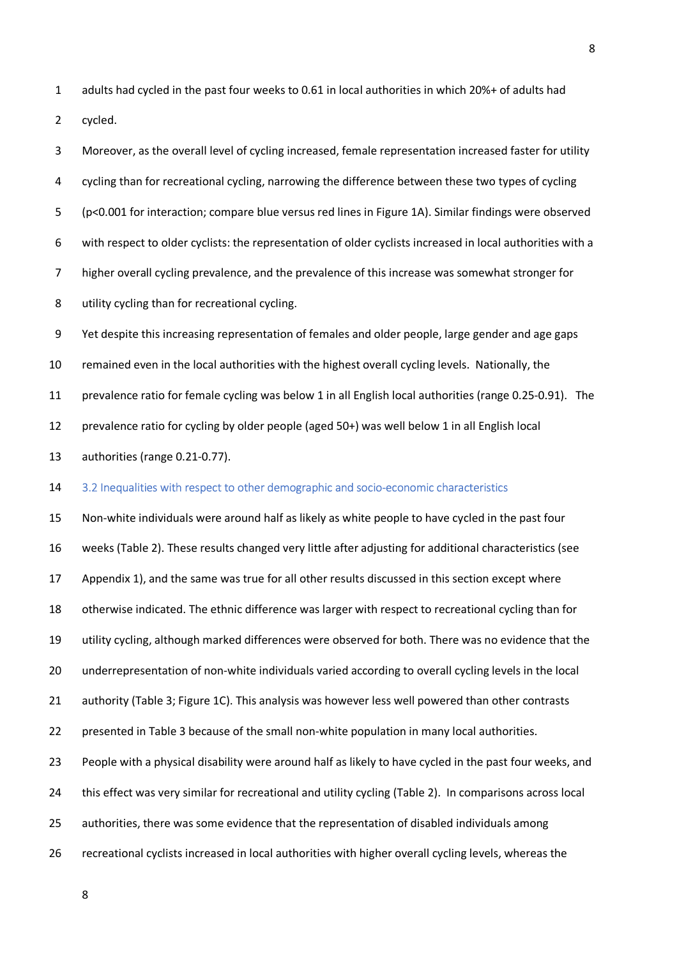1 adults had cycled in the past four weeks to 0.61 in local authorities in which 20%+ of adults had 2 cycled.

3 Moreover, as the overall level of cycling increased, female representation increased faster for utility 4 cycling than for recreational cycling, narrowing the difference between these two types of cycling 5 (p<0.001 for interaction; compare blue versus red lines in Figure 1A). Similar findings were observed 6 with respect to older cyclists: the representation of older cyclists increased in local authorities with a 7 higher overall cycling prevalence, and the prevalence of this increase was somewhat stronger for 8 utility cycling than for recreational cycling.

9 Yet despite this increasing representation of females and older people, large gender and age gaps 10 remained even in the local authorities with the highest overall cycling levels. Nationally, the 11 prevalence ratio for female cycling was below 1 in all English local authorities (range 0.25-0.91). The 12 prevalence ratio for cycling by older people (aged 50+) was well below 1 in all English local 13 authorities (range 0.21-0.77).

14 3.2 Inequalities with respect to other demographic and socio-economic characteristics

15 Non-white individuals were around half as likely as white people to have cycled in the past four 16 weeks (Table 2). These results changed very little after adjusting for additional characteristics (see 17 Appendix 1), and the same was true for all other results discussed in this section except where 18 otherwise indicated. The ethnic difference was larger with respect to recreational cycling than for 19 utility cycling, although marked differences were observed for both. There was no evidence that the 20 underrepresentation of non-white individuals varied according to overall cycling levels in the local 21 authority (Table 3; Figure 1C). This analysis was however less well powered than other contrasts 22 presented in Table 3 because of the small non-white population in many local authorities. 23 People with a physical disability were around half as likely to have cycled in the past four weeks, and 24 this effect was very similar for recreational and utility cycling (Table 2). In comparisons across local 25 authorities, there was some evidence that the representation of disabled individuals among 26 recreational cyclists increased in local authorities with higher overall cycling levels, whereas the

8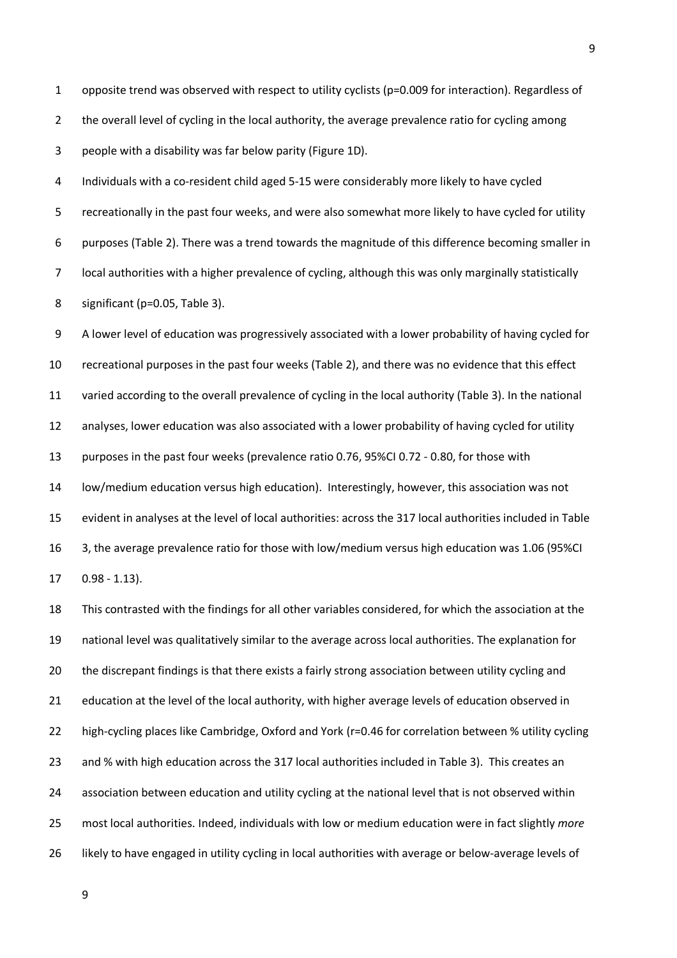1 opposite trend was observed with respect to utility cyclists (p=0.009 for interaction). Regardless of 2 the overall level of cycling in the local authority, the average prevalence ratio for cycling among 3 people with a disability was far below parity (Figure 1D).

4 Individuals with a co-resident child aged 5-15 were considerably more likely to have cycled 5 recreationally in the past four weeks, and were also somewhat more likely to have cycled for utility 6 purposes (Table 2). There was a trend towards the magnitude of this difference becoming smaller in 7 local authorities with a higher prevalence of cycling, although this was only marginally statistically 8 significant (p=0.05, Table 3).

9 A lower level of education was progressively associated with a lower probability of having cycled for 10 recreational purposes in the past four weeks (Table 2), and there was no evidence that this effect 11 varied according to the overall prevalence of cycling in the local authority (Table 3). In the national 12 analyses, lower education was also associated with a lower probability of having cycled for utility 13 purposes in the past four weeks (prevalence ratio 0.76, 95%CI 0.72 - 0.80, for those with 14 low/medium education versus high education). Interestingly, however, this association was not 15 evident in analyses at the level of local authorities: across the 317 local authorities included in Table 16 3, the average prevalence ratio for those with low/medium versus high education was 1.06 (95%CI 17 0.98 - 1.13).

18 This contrasted with the findings for all other variables considered, for which the association at the 19 national level was qualitatively similar to the average across local authorities. The explanation for 20 the discrepant findings is that there exists a fairly strong association between utility cycling and 21 education at the level of the local authority, with higher average levels of education observed in 22 high-cycling places like Cambridge, Oxford and York (r=0.46 for correlation between % utility cycling 23 and % with high education across the 317 local authorities included in Table 3). This creates an 24 association between education and utility cycling at the national level that is not observed within 25 most local authorities. Indeed, individuals with low or medium education were in fact slightly *more* 26 likely to have engaged in utility cycling in local authorities with average or below-average levels of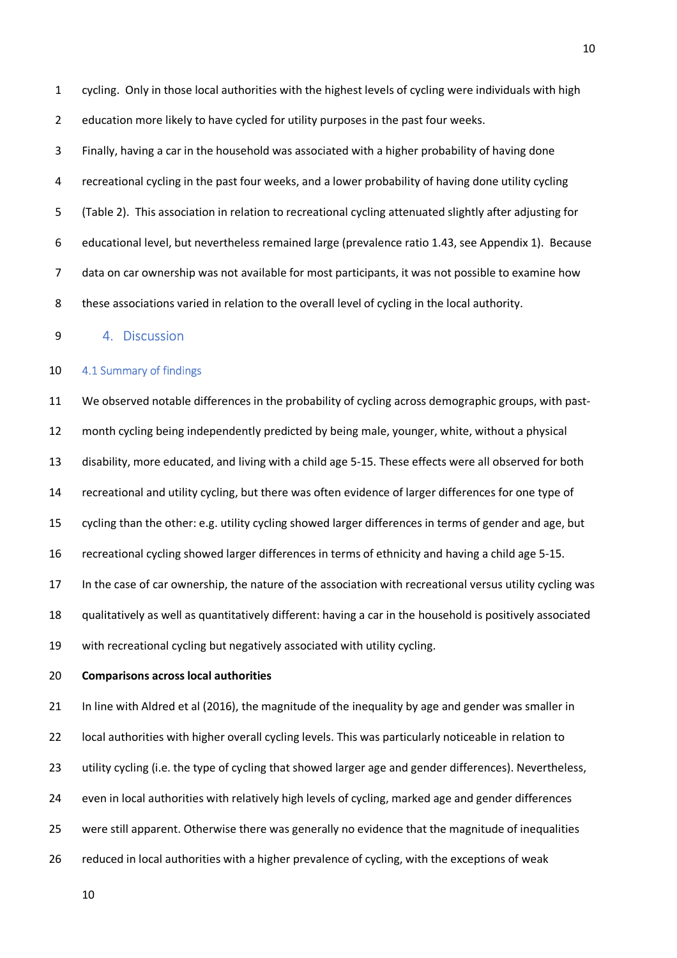1 cycling. Only in those local authorities with the highest levels of cycling were individuals with high 2 education more likely to have cycled for utility purposes in the past four weeks.

3 Finally, having a car in the household was associated with a higher probability of having done 4 recreational cycling in the past four weeks, and a lower probability of having done utility cycling 5 (Table 2). This association in relation to recreational cycling attenuated slightly after adjusting for 6 educational level, but nevertheless remained large (prevalence ratio 1.43, see Appendix 1). Because 7 data on car ownership was not available for most participants, it was not possible to examine how 8 these associations varied in relation to the overall level of cycling in the local authority.

9 4. Discussion

#### 10 4.1 Summary of findings

11 We observed notable differences in the probability of cycling across demographic groups, with past-12 month cycling being independently predicted by being male, younger, white, without a physical 13 disability, more educated, and living with a child age 5-15. These effects were all observed for both 14 recreational and utility cycling, but there was often evidence of larger differences for one type of 15 cycling than the other: e.g. utility cycling showed larger differences in terms of gender and age, but 16 recreational cycling showed larger differences in terms of ethnicity and having a child age 5-15. 17 In the case of car ownership, the nature of the association with recreational versus utility cycling was 18 qualitatively as well as quantitatively different: having a car in the household is positively associated 19 with recreational cycling but negatively associated with utility cycling.

#### 20 **Comparisons across local authorities**

21 In line with Aldred et al (2016), the magnitude of the inequality by age and gender was smaller in 22 local authorities with higher overall cycling levels. This was particularly noticeable in relation to 23 utility cycling (i.e. the type of cycling that showed larger age and gender differences). Nevertheless, 24 even in local authorities with relatively high levels of cycling, marked age and gender differences 25 were still apparent. Otherwise there was generally no evidence that the magnitude of inequalities 26 reduced in local authorities with a higher prevalence of cycling, with the exceptions of weak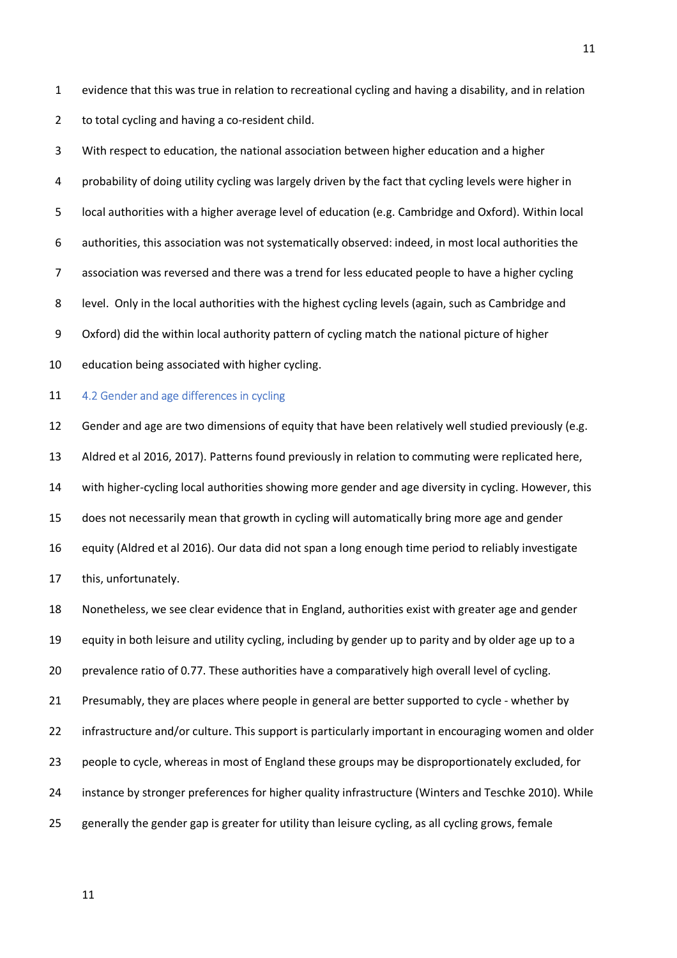1 evidence that this was true in relation to recreational cycling and having a disability, and in relation

2 to total cycling and having a co-resident child.

3 With respect to education, the national association between higher education and a higher 4 probability of doing utility cycling was largely driven by the fact that cycling levels were higher in 5 local authorities with a higher average level of education (e.g. Cambridge and Oxford). Within local 6 authorities, this association was not systematically observed: indeed, in most local authorities the 7 association was reversed and there was a trend for less educated people to have a higher cycling 8 level. Only in the local authorities with the highest cycling levels (again, such as Cambridge and 9 Oxford) did the within local authority pattern of cycling match the national picture of higher 10 education being associated with higher cycling.

### 11 4.2 Gender and age differences in cycling

12 Gender and age are two dimensions of equity that have been relatively well studied previously (e.g. 13 Aldred et al 2016, 2017). Patterns found previously in relation to commuting were replicated here, 14 with higher-cycling local authorities showing more gender and age diversity in cycling. However, this 15 does not necessarily mean that growth in cycling will automatically bring more age and gender 16 equity (Aldred et al 2016). Our data did not span a long enough time period to reliably investigate 17 this, unfortunately.

18 Nonetheless, we see clear evidence that in England, authorities exist with greater age and gender 19 equity in both leisure and utility cycling, including by gender up to parity and by older age up to a 20 prevalence ratio of 0.77. These authorities have a comparatively high overall level of cycling. 21 Presumably, they are places where people in general are better supported to cycle - whether by 22 infrastructure and/or culture. This support is particularly important in encouraging women and older 23 people to cycle, whereas in most of England these groups may be disproportionately excluded, for 24 instance by stronger preferences for higher quality infrastructure (Winters and Teschke 2010). While 25 generally the gender gap is greater for utility than leisure cycling, as all cycling grows, female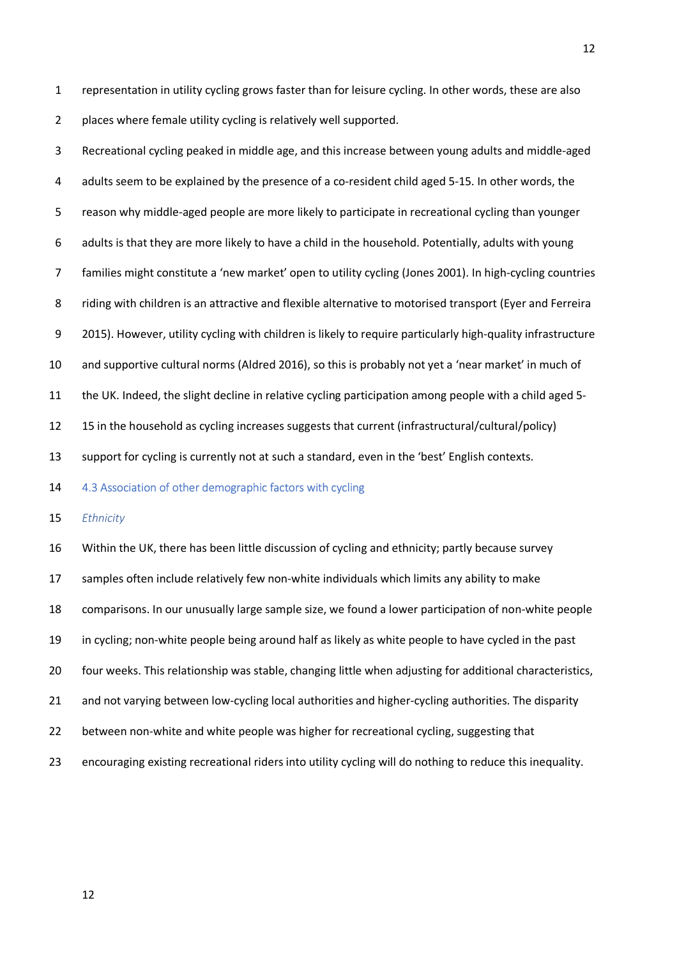1 representation in utility cycling grows faster than for leisure cycling. In other words, these are also 2 places where female utility cycling is relatively well supported.

3 Recreational cycling peaked in middle age, and this increase between young adults and middle-aged 4 adults seem to be explained by the presence of a co-resident child aged 5-15. In other words, the 5 reason why middle-aged people are more likely to participate in recreational cycling than younger 6 adults is that they are more likely to have a child in the household. Potentially, adults with young 7 families might constitute a 'new market' open to utility cycling (Jones 2001). In high-cycling countries 8 riding with children is an attractive and flexible alternative to motorised transport (Eyer and Ferreira 9 2015). However, utility cycling with children is likely to require particularly high-quality infrastructure 10 and supportive cultural norms (Aldred 2016), so this is probably not yet a 'near market' in much of 11 the UK. Indeed, the slight decline in relative cycling participation among people with a child aged 5- 12 15 in the household as cycling increases suggests that current (infrastructural/cultural/policy) 13 support for cycling is currently not at such a standard, even in the 'best' English contexts.

14 4.3 Association of other demographic factors with cycling

15 *Ethnicity* 

16 Within the UK, there has been little discussion of cycling and ethnicity; partly because survey 17 samples often include relatively few non-white individuals which limits any ability to make 18 comparisons. In our unusually large sample size, we found a lower participation of non-white people 19 in cycling; non-white people being around half as likely as white people to have cycled in the past 20 four weeks. This relationship was stable, changing little when adjusting for additional characteristics, 21 and not varying between low-cycling local authorities and higher-cycling authorities. The disparity 22 between non-white and white people was higher for recreational cycling, suggesting that 23 encouraging existing recreational riders into utility cycling will do nothing to reduce this inequality.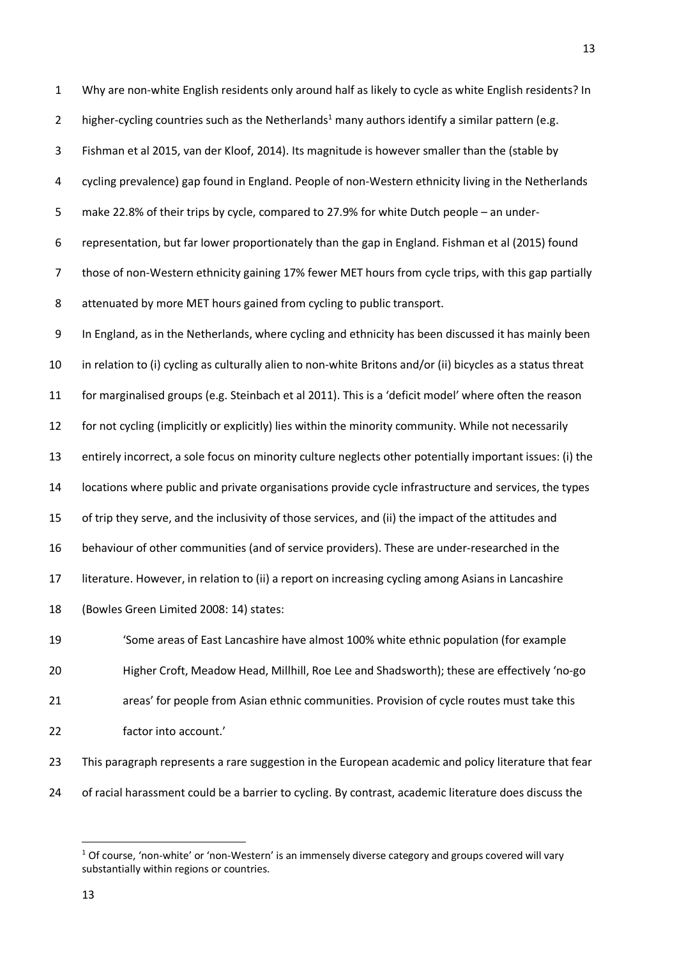1 Why are non-white English residents only around half as likely to cycle as white English residents? In 2 higher-cycling countries such as the Netherlands<sup>1</sup> many authors identify a similar pattern (e.g. 3 Fishman et al 2015, van der Kloof, 2014). Its magnitude is however smaller than the (stable by 4 cycling prevalence) gap found in England. People of non-Western ethnicity living in the Netherlands 5 make 22.8% of their trips by cycle, compared to 27.9% for white Dutch people – an under-6 representation, but far lower proportionately than the gap in England. Fishman et al (2015) found 7 those of non-Western ethnicity gaining 17% fewer MET hours from cycle trips, with this gap partially 8 attenuated by more MET hours gained from cycling to public transport. 9 In England, as in the Netherlands, where cycling and ethnicity has been discussed it has mainly been 10 in relation to (i) cycling as culturally alien to non-white Britons and/or (ii) bicycles as a status threat 11 for marginalised groups (e.g. Steinbach et al 2011). This is a 'deficit model' where often the reason 12 for not cycling (implicitly or explicitly) lies within the minority community. While not necessarily 13 entirely incorrect, a sole focus on minority culture neglects other potentially important issues: (i) the 14 locations where public and private organisations provide cycle infrastructure and services, the types 15 of trip they serve, and the inclusivity of those services, and (ii) the impact of the attitudes and 16 behaviour of other communities (and of service providers). These are under-researched in the 17 literature. However, in relation to (ii) a report on increasing cycling among Asians in Lancashire 18 (Bowles Green Limited 2008: 14) states: 19 'Some areas of East Lancashire have almost 100% white ethnic population (for example 20 Higher Croft, Meadow Head, Millhill, Roe Lee and Shadsworth); these are effectively 'no-go

21 areas' for people from Asian ethnic communities. Provision of cycle routes must take this 22 factor into account.'

23 This paragraph represents a rare suggestion in the European academic and policy literature that fear 24 of racial harassment could be a barrier to cycling. By contrast, academic literature does discuss the

13

 $\overline{a}$ 

 $^1$  Of course, 'non-white' or 'non-Western' is an immensely diverse category and groups covered will vary substantially within regions or countries.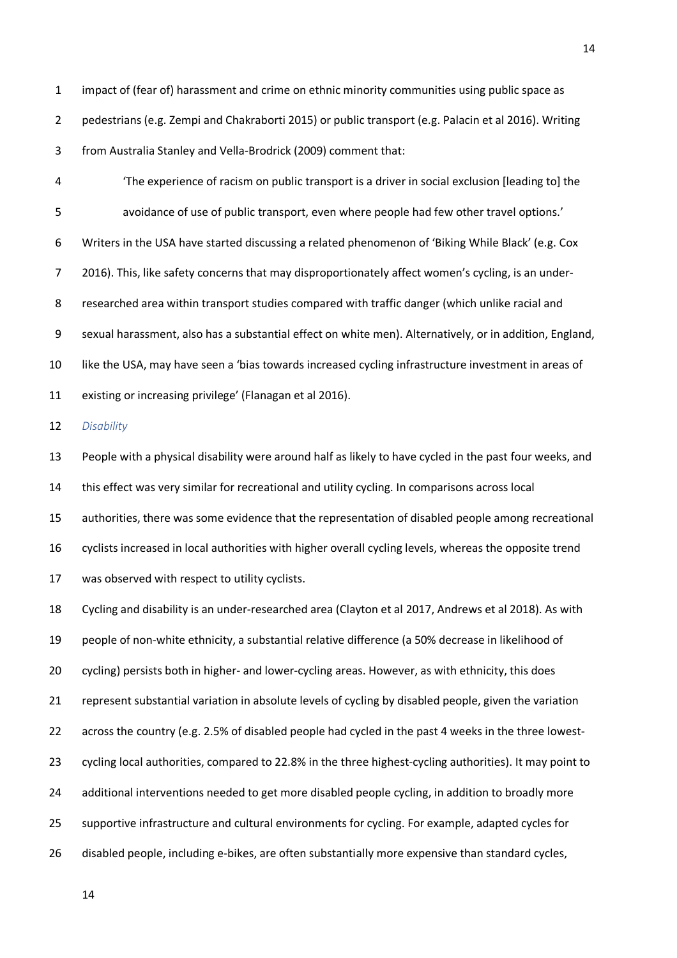1 impact of (fear of) harassment and crime on ethnic minority communities using public space as 2 pedestrians (e.g. Zempi and Chakraborti 2015) or public transport (e.g. Palacin et al 2016). Writing 3 from Australia Stanley and Vella-Brodrick (2009) comment that:

4 'The experience of racism on public transport is a driver in social exclusion [leading to] the 5 avoidance of use of public transport, even where people had few other travel options.' 6 Writers in the USA have started discussing a related phenomenon of 'Biking While Black' (e.g. Cox 7 2016). This, like safety concerns that may disproportionately affect women's cycling, is an under-8 researched area within transport studies compared with traffic danger (which unlike racial and 9 sexual harassment, also has a substantial effect on white men). Alternatively, or in addition, England, 10 like the USA, may have seen a 'bias towards increased cycling infrastructure investment in areas of 11 existing or increasing privilege' (Flanagan et al 2016).

12 *Disability* 

13 People with a physical disability were around half as likely to have cycled in the past four weeks, and 14 this effect was very similar for recreational and utility cycling. In comparisons across local 15 authorities, there was some evidence that the representation of disabled people among recreational 16 cyclists increased in local authorities with higher overall cycling levels, whereas the opposite trend 17 was observed with respect to utility cyclists.

18 Cycling and disability is an under-researched area (Clayton et al 2017, Andrews et al 2018). As with 19 people of non-white ethnicity, a substantial relative difference (a 50% decrease in likelihood of 20 cycling) persists both in higher- and lower-cycling areas. However, as with ethnicity, this does 21 represent substantial variation in absolute levels of cycling by disabled people, given the variation 22 across the country (e.g. 2.5% of disabled people had cycled in the past 4 weeks in the three lowest-23 cycling local authorities, compared to 22.8% in the three highest-cycling authorities). It may point to 24 additional interventions needed to get more disabled people cycling, in addition to broadly more 25 supportive infrastructure and cultural environments for cycling. For example, adapted cycles for 26 disabled people, including e-bikes, are often substantially more expensive than standard cycles,

14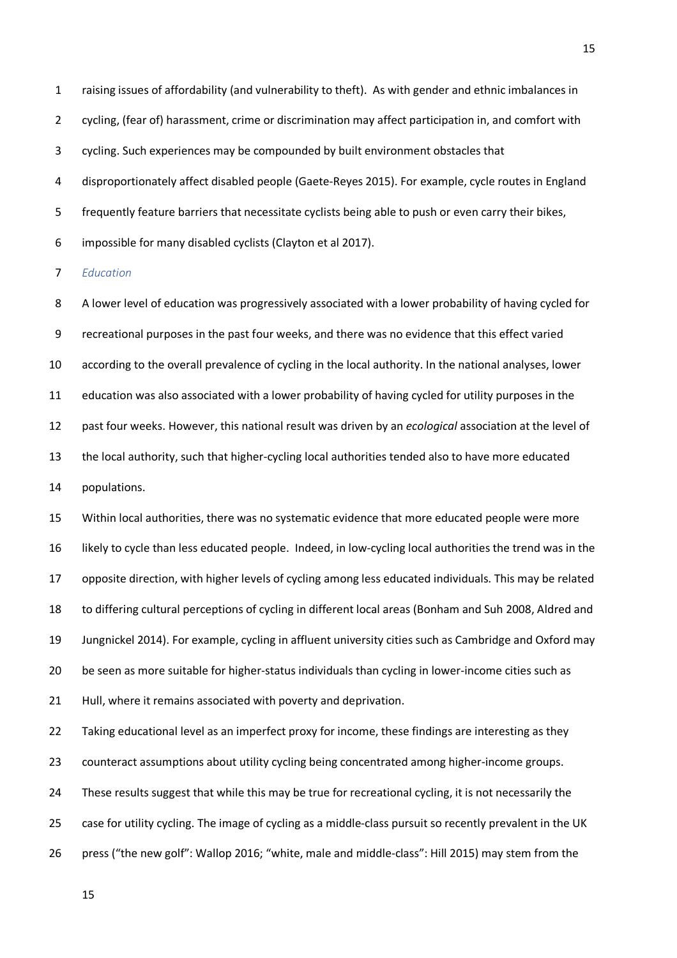1 raising issues of affordability (and vulnerability to theft). As with gender and ethnic imbalances in 2 cycling, (fear of) harassment, crime or discrimination may affect participation in, and comfort with 3 cycling. Such experiences may be compounded by built environment obstacles that 4 disproportionately affect disabled people (Gaete-Reyes 2015). For example, cycle routes in England 5 frequently feature barriers that necessitate cyclists being able to push or even carry their bikes, 6 impossible for many disabled cyclists (Clayton et al 2017).

7 *Education* 

8 A lower level of education was progressively associated with a lower probability of having cycled for 9 recreational purposes in the past four weeks, and there was no evidence that this effect varied 10 according to the overall prevalence of cycling in the local authority. In the national analyses, lower 11 education was also associated with a lower probability of having cycled for utility purposes in the 12 past four weeks. However, this national result was driven by an *ecological* association at the level of 13 the local authority, such that higher-cycling local authorities tended also to have more educated 14 populations.

15 Within local authorities, there was no systematic evidence that more educated people were more 16 likely to cycle than less educated people. Indeed, in low-cycling local authorities the trend was in the 17 opposite direction, with higher levels of cycling among less educated individuals. This may be related 18 to differing cultural perceptions of cycling in different local areas (Bonham and Suh 2008, Aldred and 19 Jungnickel 2014). For example, cycling in affluent university cities such as Cambridge and Oxford may 20 be seen as more suitable for higher-status individuals than cycling in lower-income cities such as 21 Hull, where it remains associated with poverty and deprivation.

22 Taking educational level as an imperfect proxy for income, these findings are interesting as they 23 counteract assumptions about utility cycling being concentrated among higher-income groups. 24 These results suggest that while this may be true for recreational cycling, it is not necessarily the 25 case for utility cycling. The image of cycling as a middle-class pursuit so recently prevalent in the UK 26 press ("the new golf": Wallop 2016; "white, male and middle-class": Hill 2015) may stem from the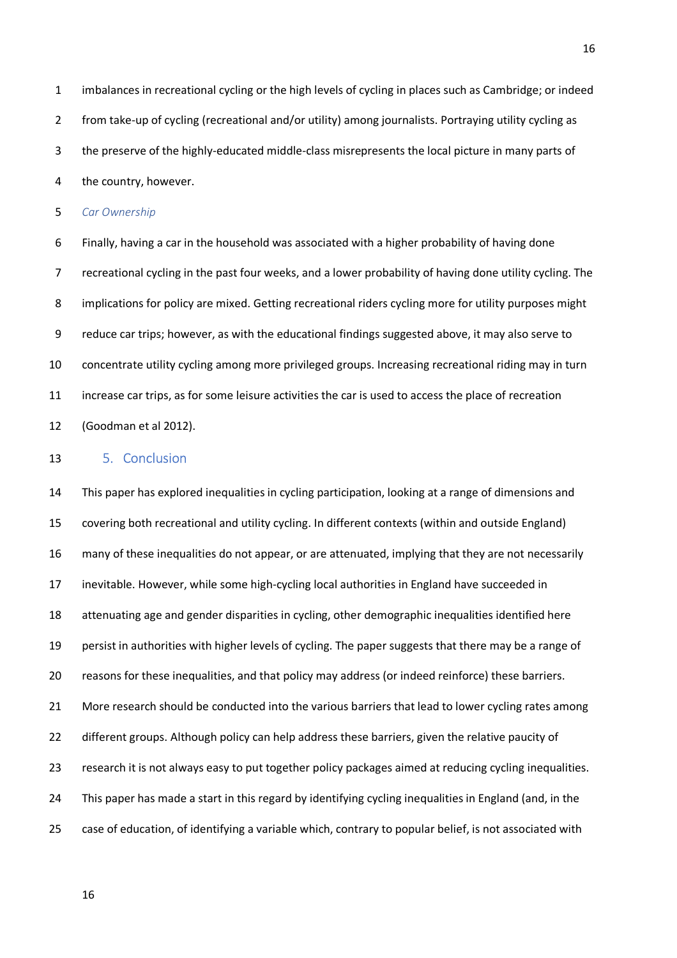1 imbalances in recreational cycling or the high levels of cycling in places such as Cambridge; or indeed 2 from take-up of cycling (recreational and/or utility) among journalists. Portraying utility cycling as 3 the preserve of the highly-educated middle-class misrepresents the local picture in many parts of 4 the country, however.

5 *Car Ownership* 

6 Finally, having a car in the household was associated with a higher probability of having done 7 recreational cycling in the past four weeks, and a lower probability of having done utility cycling. The 8 implications for policy are mixed. Getting recreational riders cycling more for utility purposes might 9 reduce car trips; however, as with the educational findings suggested above, it may also serve to 10 concentrate utility cycling among more privileged groups. Increasing recreational riding may in turn 11 increase car trips, as for some leisure activities the car is used to access the place of recreation 12 (Goodman et al 2012).

#### 13 5. Conclusion

14 This paper has explored inequalities in cycling participation, looking at a range of dimensions and 15 covering both recreational and utility cycling. In different contexts (within and outside England) 16 many of these inequalities do not appear, or are attenuated, implying that they are not necessarily 17 inevitable. However, while some high-cycling local authorities in England have succeeded in 18 attenuating age and gender disparities in cycling, other demographic inequalities identified here 19 persist in authorities with higher levels of cycling. The paper suggests that there may be a range of 20 reasons for these inequalities, and that policy may address (or indeed reinforce) these barriers. 21 More research should be conducted into the various barriers that lead to lower cycling rates among 22 different groups. Although policy can help address these barriers, given the relative paucity of 23 research it is not always easy to put together policy packages aimed at reducing cycling inequalities. 24 This paper has made a start in this regard by identifying cycling inequalities in England (and, in the 25 case of education, of identifying a variable which, contrary to popular belief, is not associated with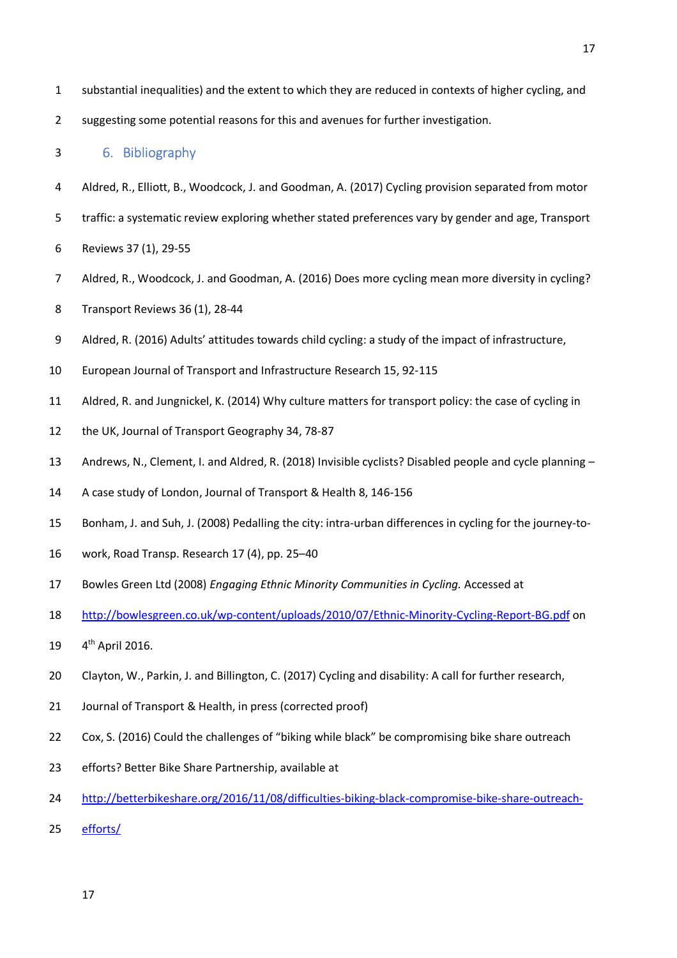- 1 substantial inequalities) and the extent to which they are reduced in contexts of higher cycling, and
- 2 suggesting some potential reasons for this and avenues for further investigation.

#### 3 6. Bibliography

- 4 Aldred, R., Elliott, B., Woodcock, J. and Goodman, A. (2017) Cycling provision separated from motor
- 5 traffic: a systematic review exploring whether stated preferences vary by gender and age, Transport
- 6 Reviews 37 (1), 29-55
- 7 Aldred, R., Woodcock, J. and Goodman, A. (2016) Does more cycling mean more diversity in cycling?
- 8 Transport Reviews 36 (1), 28-44
- 9 Aldred, R. (2016) Adults' attitudes towards child cycling: a study of the impact of infrastructure,
- 10 European Journal of Transport and Infrastructure Research 15, 92-115
- 11 Aldred, R. and Jungnickel, K. (2014) Why culture matters for transport policy: the case of cycling in
- 12 the UK, Journal of Transport Geography 34, 78-87
- 13 Andrews, N., Clement, I. and Aldred, R. (2018) Invisible cyclists? Disabled people and cycle planning –
- 14 A case study of London, Journal of Transport & Health 8, 146-156
- 15 Bonham, J. and Suh, J. (2008) Pedalling the city: intra-urban differences in cycling for the journey-to-
- 16 work, Road Transp. Research 17 (4), pp. 25–40
- 17 Bowles Green Ltd (2008) *Engaging Ethnic Minority Communities in Cycling.* Accessed at
- 18 http://bowlesgreen.co.uk/wp-content/uploads/2010/07/Ethnic-Minority-Cycling-Report-BG.pdf on
- 19 4<sup>th</sup> April 2016.
- 20 Clayton, W., Parkin, J. and Billington, C. (2017) Cycling and disability: A call for further research,
- 21 Journal of Transport & Health, in press (corrected proof)
- 22 Cox, S. (2016) Could the challenges of "biking while black" be compromising bike share outreach
- 23 efforts? Better Bike Share Partnership, available at
- 24 http://betterbikeshare.org/2016/11/08/difficulties-biking-black-compromise-bike-share-outreach-
- 25 efforts/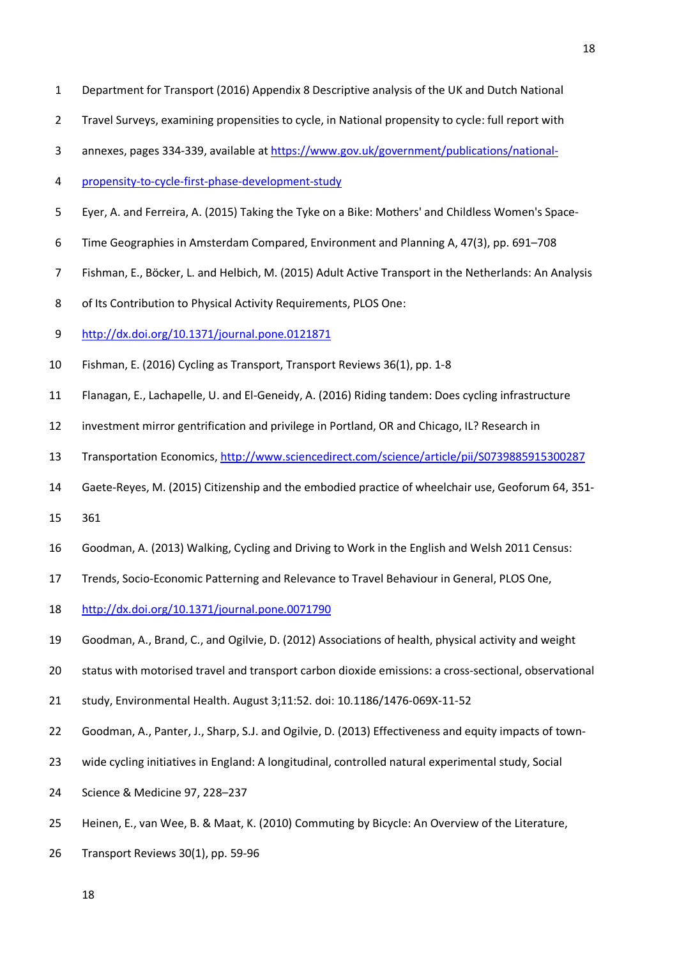- 1 Department for Transport (2016) Appendix 8 Descriptive analysis of the UK and Dutch National
- 2 Travel Surveys, examining propensities to cycle, in National propensity to cycle: full report with
- 3 annexes, pages 334-339, available at https://www.gov.uk/government/publications/national-
- 4 propensity-to-cycle-first-phase-development-study
- 5 Eyer, A. and Ferreira, A. (2015) Taking the Tyke on a Bike: Mothers' and Childless Women's Space-
- 6 Time Geographies in Amsterdam Compared, Environment and Planning A, 47(3), pp. 691–708
- 7 Fishman, E., Böcker, L. and Helbich, M. (2015) Adult Active Transport in the Netherlands: An Analysis
- 8 of Its Contribution to Physical Activity Requirements, PLOS One:
- 9 http://dx.doi.org/10.1371/journal.pone.0121871
- 10 Fishman, E. (2016) Cycling as Transport, Transport Reviews 36(1), pp. 1-8
- 11 Flanagan, E., Lachapelle, U. and El-Geneidy, A. (2016) Riding tandem: Does cycling infrastructure
- 12 investment mirror gentrification and privilege in Portland, OR and Chicago, IL? Research in
- 13 Transportation Economics, http://www.sciencedirect.com/science/article/pii/S0739885915300287
- 14 Gaete-Reyes, M. (2015) Citizenship and the embodied practice of wheelchair use, Geoforum 64, 351-
- 15 361
- 16 Goodman, A. (2013) Walking, Cycling and Driving to Work in the English and Welsh 2011 Census:
- 17 Trends, Socio-Economic Patterning and Relevance to Travel Behaviour in General, PLOS One,
- 18 http://dx.doi.org/10.1371/journal.pone.0071790
- 19 Goodman, A., Brand, C., and Ogilvie, D. (2012) Associations of health, physical activity and weight
- 20 status with motorised travel and transport carbon dioxide emissions: a cross-sectional, observational
- 21 study, Environmental Health. August 3;11:52. doi: 10.1186/1476-069X-11-52
- 22 Goodman, A., Panter, J., Sharp, S.J. and Ogilvie, D. (2013) Effectiveness and equity impacts of town-
- 23 wide cycling initiatives in England: A longitudinal, controlled natural experimental study, Social
- 24 Science & Medicine 97, 228–237
- 25 Heinen, E., van Wee, B. & Maat, K. (2010) Commuting by Bicycle: An Overview of the Literature,
- 26 Transport Reviews 30(1), pp. 59-96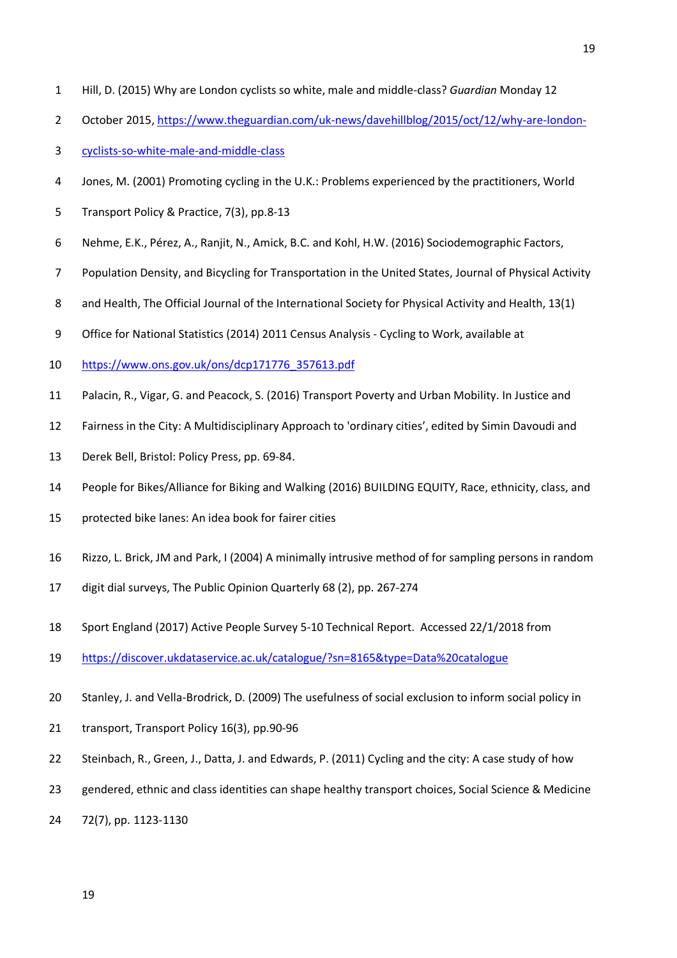- 1 Hill, D. (2015) Why are London cyclists so white, male and middle-class? *Guardian* Monday 12
- 2 October 2015, https://www.theguardian.com/uk-news/davehillblog/2015/oct/12/why-are-london-
- 3 cyclists-so-white-male-and-middle-class
- 4 Jones, M. (2001) Promoting cycling in the U.K.: Problems experienced by the practitioners, World
- 5 Transport Policy & Practice, 7(3), pp.8-13
- 6 Nehme, E.K., Pérez, A., Ranjit, N., Amick, B.C. and Kohl, H.W. (2016) Sociodemographic Factors,
- 7 Population Density, and Bicycling for Transportation in the United States, Journal of Physical Activity
- 8 and Health, The Official Journal of the International Society for Physical Activity and Health, 13(1)
- 9 Office for National Statistics (2014) 2011 Census Analysis Cycling to Work, available at
- 10 https://www.ons.gov.uk/ons/dcp171776\_357613.pdf
- 11 Palacin, R., Vigar, G. and Peacock, S. (2016) Transport Poverty and Urban Mobility. In Justice and
- 12 Fairness in the City: A Multidisciplinary Approach to 'ordinary cities', edited by Simin Davoudi and
- 13 Derek Bell, Bristol: Policy Press, pp. 69-84.
- 14 People for Bikes/Alliance for Biking and Walking (2016) BUILDING EQUITY, Race, ethnicity, class, and
- 15 protected bike lanes: An idea book for fairer cities
- 16 Rizzo, L. Brick, JM and Park, I (2004) A minimally intrusive method of for sampling persons in random
- 17 digit dial surveys, The Public Opinion Quarterly 68 (2), pp. 267-274
- 18 Sport England (2017) Active People Survey 5-10 Technical Report. Accessed 22/1/2018 from
- 19 https://discover.ukdataservice.ac.uk/catalogue/?sn=8165&type=Data%20catalogue
- 20 Stanley, J. and Vella-Brodrick, D. (2009) The usefulness of social exclusion to inform social policy in
- 21 transport, Transport Policy 16(3), pp.90-96
- 22 Steinbach, R., Green, J., Datta, J. and Edwards, P. (2011) Cycling and the city: A case study of how
- 23 gendered, ethnic and class identities can shape healthy transport choices, Social Science & Medicine
- 24 72(7), pp. 1123-1130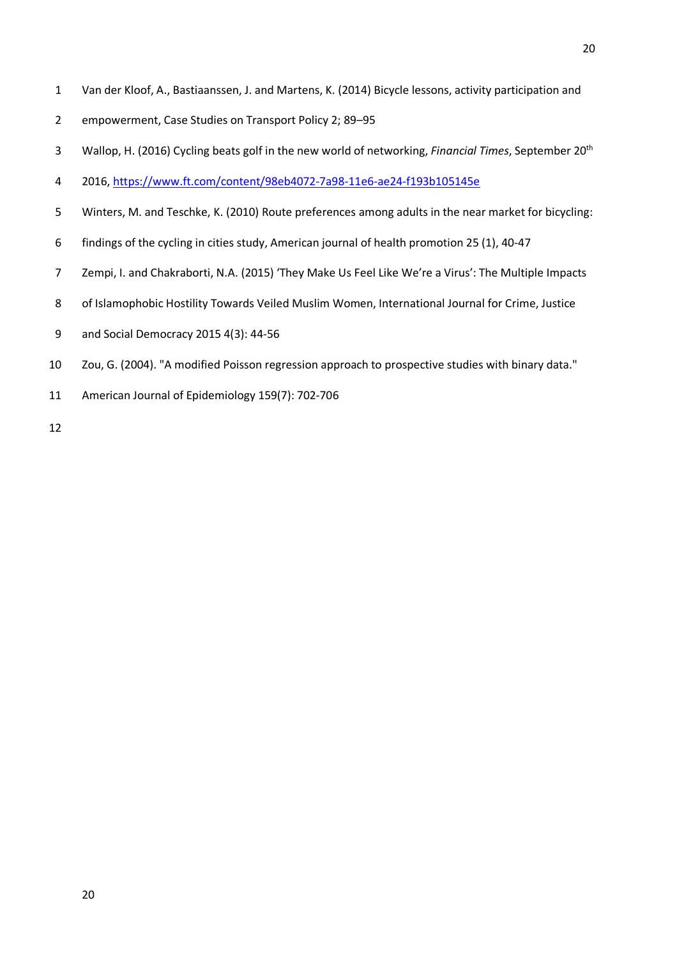- 1 Van der Kloof, A., Bastiaanssen, J. and Martens, K. (2014) Bicycle lessons, activity participation and
- 2 empowerment, Case Studies on Transport Policy 2; 89–95
- Wallop, H. (2016) Cycling beats golf in the new world of networking, *Financial Times*, September 20th 3
- 4 2016, https://www.ft.com/content/98eb4072-7a98-11e6-ae24-f193b105145e
- 5 Winters, M. and Teschke, K. (2010) Route preferences among adults in the near market for bicycling:
- 6 findings of the cycling in cities study, American journal of health promotion 25 (1), 40-47
- 7 Zempi, I. and Chakraborti, N.A. (2015) 'They Make Us Feel Like We're a Virus': The Multiple Impacts
- 8 of Islamophobic Hostility Towards Veiled Muslim Women, International Journal for Crime, Justice
- 9 and Social Democracy 2015 4(3): 44-56
- 10 Zou, G. (2004). "A modified Poisson regression approach to prospective studies with binary data."
- 11 American Journal of Epidemiology 159(7): 702-706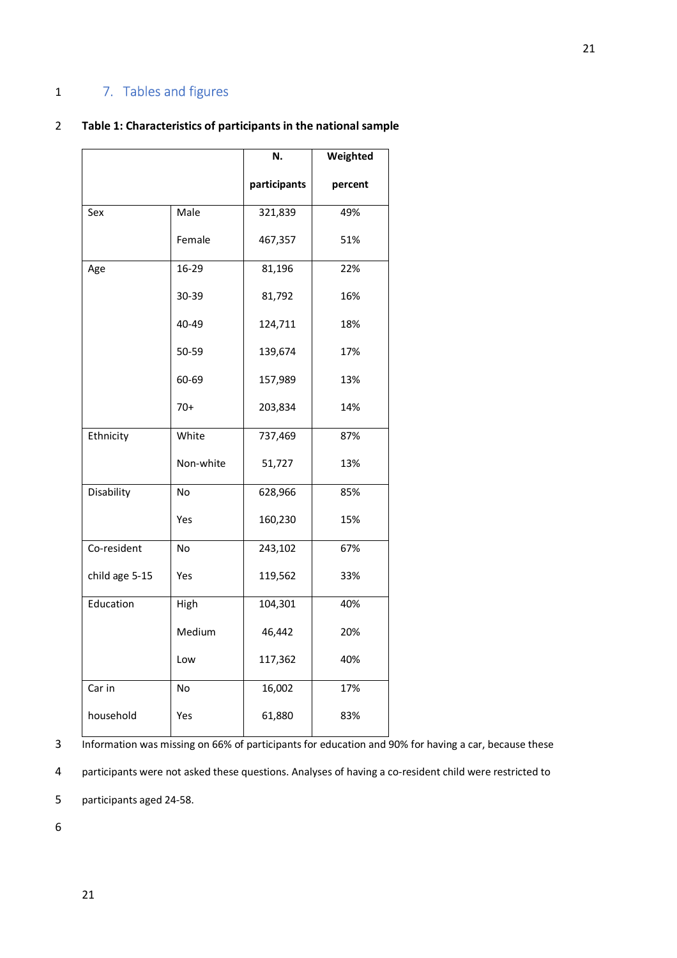## 1 7. Tables and figures

## 2 **Table 1: Characteristics of participants in the national sample**

|                |           | N.           | Weighted |
|----------------|-----------|--------------|----------|
|                |           | participants | percent  |
| Sex            | Male      | 321,839      | 49%      |
|                | Female    | 467,357      | 51%      |
| Age            | 16-29     | 81,196       | 22%      |
|                | 30-39     | 81,792       | 16%      |
|                | 40-49     | 124,711      | 18%      |
|                | 50-59     | 139,674      | 17%      |
|                | 60-69     | 157,989      | 13%      |
|                | $70+$     | 203,834      | 14%      |
| Ethnicity      | White     | 737,469      | 87%      |
|                | Non-white | 51,727       | 13%      |
| Disability     | No        | 628,966      | 85%      |
|                | Yes       | 160,230      | 15%      |
| Co-resident    | No        | 243,102      | 67%      |
| child age 5-15 | Yes       | 119,562      | 33%      |
| Education      | High      | 104,301      | 40%      |
|                | Medium    | 46,442       | 20%      |
|                | Low       | 117,362      | 40%      |
| Car in         | No        | 16,002       | 17%      |
| household      | Yes       | 61,880       | 83%      |

3 Information was missing on 66% of participants for education and 90% for having a car, because these

4 participants were not asked these questions. Analyses of having a co-resident child were restricted to

5 participants aged 24-58.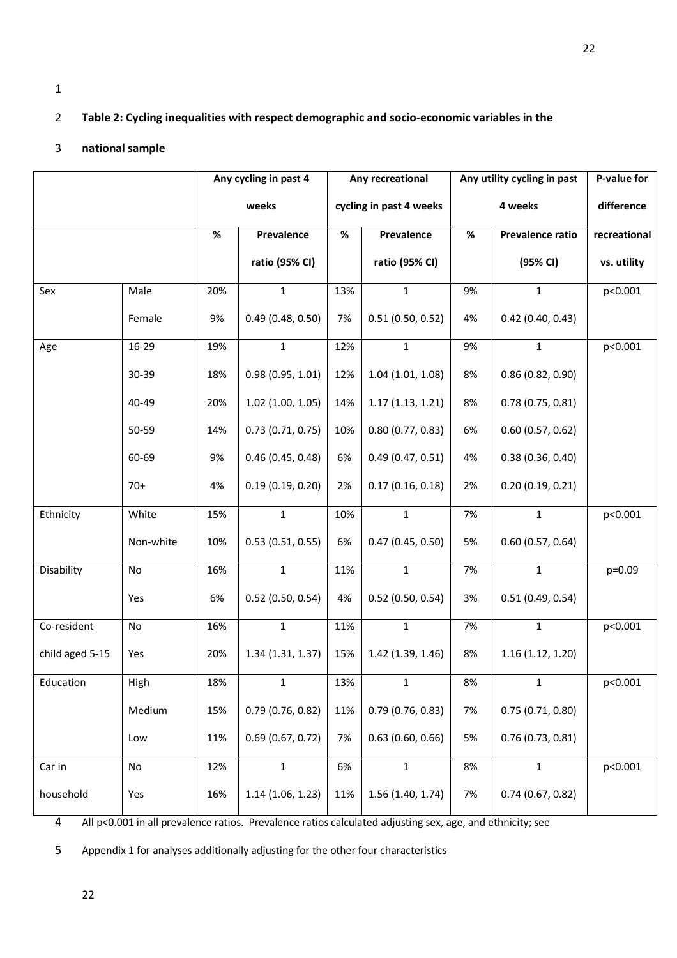## 2 **Table 2: Cycling inequalities with respect demographic and socio-economic variables in the**

## 3 **national sample**

|                 |           | Any cycling in past 4 |                                  | Any recreational        |                          | Any utility cycling in past |                     | P-value for |
|-----------------|-----------|-----------------------|----------------------------------|-------------------------|--------------------------|-----------------------------|---------------------|-------------|
|                 |           |                       | weeks                            | cycling in past 4 weeks |                          |                             | 4 weeks             | difference  |
|                 |           | $\%$                  | Prevalence<br>$\%$<br>Prevalence |                         | $\%$<br>Prevalence ratio |                             | recreational        |             |
|                 |           |                       | ratio (95% CI)                   |                         | ratio (95% CI)           |                             | (95% CI)            | vs. utility |
| Sex             | Male      | 20%                   | $\mathbf{1}$                     | 13%                     | $\mathbf{1}$             | 9%                          | 1                   | p<0.001     |
|                 | Female    | 9%                    | 0.49(0.48, 0.50)                 | 7%                      | 0.51(0.50, 0.52)         | 4%                          | $0.42$ (0.40, 0.43) |             |
| Age             | 16-29     | 19%                   | $\mathbf{1}$                     | 12%                     | $\mathbf{1}$             | 9%                          | 1                   | p<0.001     |
|                 | 30-39     | 18%                   | 0.98(0.95, 1.01)                 | 12%                     | 1.04(1.01, 1.08)         | 8%                          | 0.86(0.82, 0.90)    |             |
|                 | 40-49     | 20%                   | 1.02(1.00, 1.05)                 | 14%                     | 1.17(1.13, 1.21)         | 8%                          | 0.78(0.75, 0.81)    |             |
|                 | 50-59     | 14%                   | 0.73(0.71, 0.75)                 | 10%                     | 0.80(0.77, 0.83)         | 6%                          | 0.60(0.57, 0.62)    |             |
|                 | 60-69     | 9%                    | 0.46(0.45, 0.48)                 | 6%                      | 0.49(0.47, 0.51)         | 4%                          | 0.38(0.36, 0.40)    |             |
|                 | $70+$     | 4%                    | 0.19(0.19, 0.20)                 | 2%                      | 0.17(0.16, 0.18)         | 2%                          | 0.20(0.19, 0.21)    |             |
| Ethnicity       | White     | 15%                   | $\mathbf{1}$                     | 10%                     | $\mathbf{1}$             | 7%                          | $\mathbf{1}$        | p<0.001     |
|                 | Non-white | 10%                   | 0.53(0.51, 0.55)                 | 6%                      | 0.47(0.45, 0.50)         | 5%                          | 0.60(0.57, 0.64)    |             |
| Disability      | No        | 16%                   | $\mathbf{1}$                     | 11%                     | $\mathbf{1}$             | 7%                          | $\mathbf{1}$        | p=0.09      |
|                 | Yes       | 6%                    | $0.52$ (0.50, 0.54)              | 4%                      | 0.52(0.50, 0.54)         | 3%                          | 0.51(0.49, 0.54)    |             |
| Co-resident     | No        | 16%                   | $\mathbf{1}$                     | 11%                     | $\mathbf{1}$             | 7%                          | $\mathbf{1}$        | p<0.001     |
| child aged 5-15 | Yes       | 20%                   | 1.34(1.31, 1.37)                 | 15%                     | 1.42 (1.39, 1.46)        | 8%                          | 1.16(1.12, 1.20)    |             |
| Education       | High      | 18%                   | 1                                | 13%                     | $\mathbf 1$              | 8%                          | 1                   | p<0.001     |
|                 | Medium    | 15%                   | 0.79(0.76, 0.82)                 | 11%                     | 0.79(0.76, 0.83)         | 7%                          | 0.75(0.71, 0.80)    |             |
|                 | Low       | 11%                   | 0.69(0.67, 0.72)                 | 7%                      | 0.63(0.60, 0.66)         | 5%                          | 0.76(0.73, 0.81)    |             |
| Car in          | No        | 12%                   | $\mathbf{1}$                     | 6%                      | $\mathbf{1}$             | 8%                          | $\mathbf{1}$        | p<0.001     |
| household       | Yes       | 16%                   | 1.14(1.06, 1.23)                 | 11%                     | 1.56(1.40, 1.74)         | 7%                          | 0.74(0.67, 0.82)    |             |

4 All p<0.001 in all prevalence ratios. Prevalence ratios calculated adjusting sex, age, and ethnicity; see

5 Appendix 1 for analyses additionally adjusting for the other four characteristics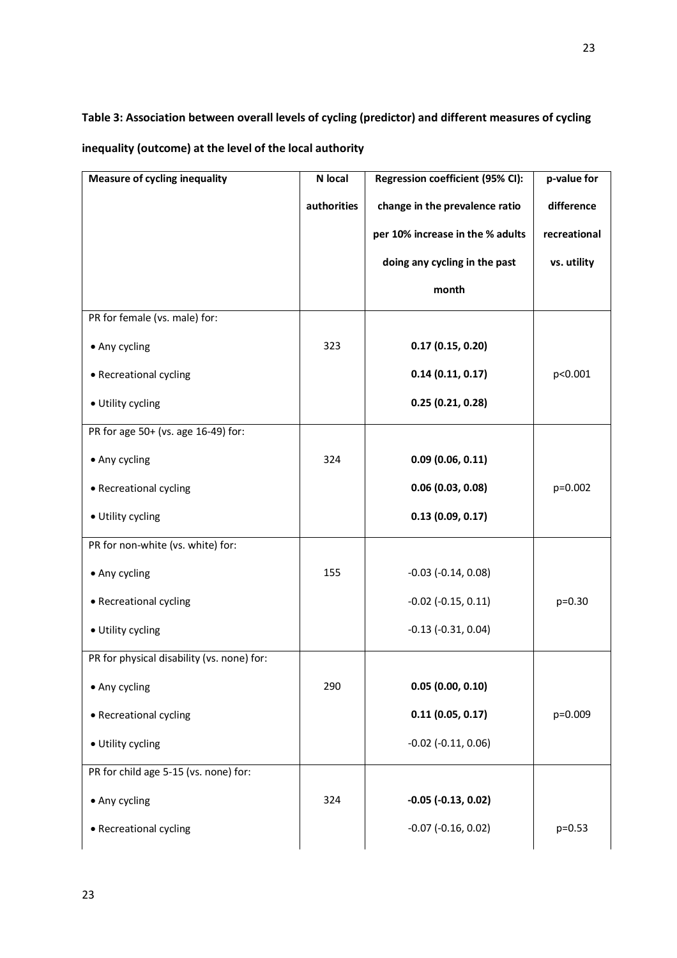**Table 3: Association between overall levels of cycling (predictor) and different measures of cycling inequality (outcome) at the level of the local authority**

| <b>Measure of cycling inequality</b>       | N local     | Regression coefficient (95% CI): | p-value for  |
|--------------------------------------------|-------------|----------------------------------|--------------|
|                                            | authorities | change in the prevalence ratio   | difference   |
|                                            |             | per 10% increase in the % adults | recreational |
|                                            |             | doing any cycling in the past    | vs. utility  |
|                                            |             | month                            |              |
| PR for female (vs. male) for:              |             |                                  |              |
| • Any cycling                              | 323         | 0.17(0.15, 0.20)                 |              |
| • Recreational cycling                     |             | 0.14(0.11, 0.17)                 | p<0.001      |
| · Utility cycling                          |             | 0.25(0.21, 0.28)                 |              |
| PR for age 50+ (vs. age 16-49) for:        |             |                                  |              |
| • Any cycling                              | 324         | 0.09(0.06, 0.11)                 |              |
| • Recreational cycling                     |             | 0.06(0.03, 0.08)                 | p=0.002      |
| · Utility cycling                          |             | 0.13(0.09, 0.17)                 |              |
| PR for non-white (vs. white) for:          |             |                                  |              |
| • Any cycling                              | 155         | $-0.03$ $(-0.14, 0.08)$          |              |
| • Recreational cycling                     |             | $-0.02$ $(-0.15, 0.11)$          | $p=0.30$     |
| · Utility cycling                          |             | $-0.13$ $(-0.31, 0.04)$          |              |
| PR for physical disability (vs. none) for: |             |                                  |              |
| • Any cycling                              | 290         | 0.05(0.00, 0.10)                 |              |
| • Recreational cycling                     |             | 0.11(0.05, 0.17)                 | p=0.009      |
| · Utility cycling                          |             | $-0.02$ $(-0.11, 0.06)$          |              |
| PR for child age 5-15 (vs. none) for:      |             |                                  |              |
| • Any cycling                              | 324         | $-0.05$ $(-0.13, 0.02)$          |              |
| • Recreational cycling                     |             | $-0.07$ $(-0.16, 0.02)$          | $p=0.53$     |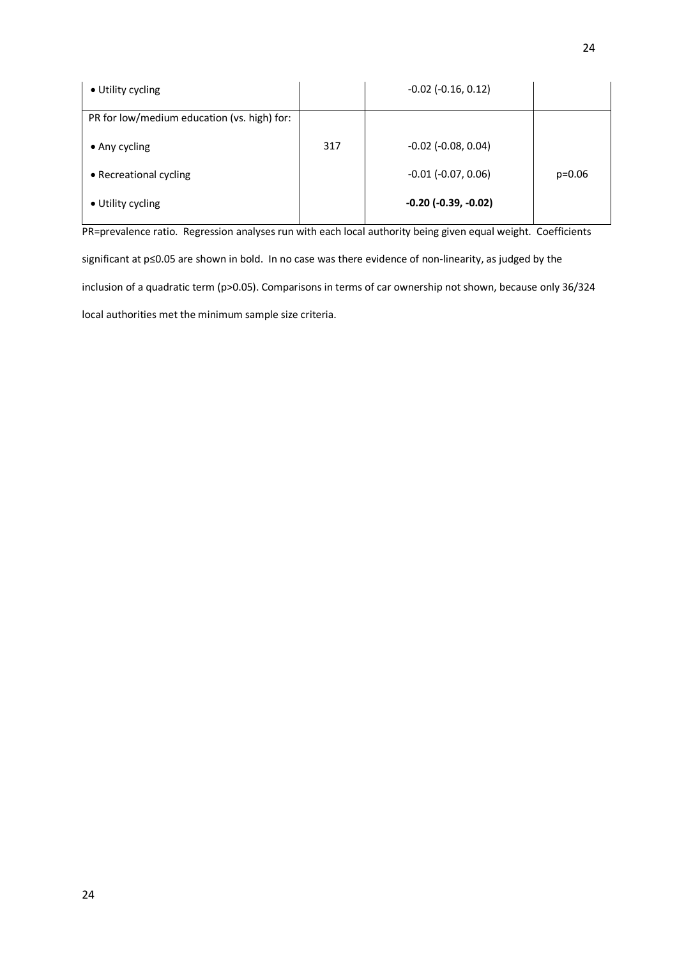| • Utility cycling                           |     | $-0.02$ $(-0.16, 0.12)$      |          |
|---------------------------------------------|-----|------------------------------|----------|
| PR for low/medium education (vs. high) for: |     |                              |          |
| $\bullet$ Any cycling                       | 317 | $-0.02$ ( $-0.08$ , $0.04$ ) |          |
| • Recreational cycling                      |     | $-0.01$ $(-0.07, 0.06)$      | $p=0.06$ |
| • Utility cycling                           |     | $-0.20$ $(-0.39, -0.02)$     |          |

PR=prevalence ratio. Regression analyses run with each local authority being given equal weight. Coefficients significant at p≤0.05 are shown in bold. In no case was there evidence of non-linearity, as judged by the inclusion of a quadratic term (p>0.05). Comparisons in terms of car ownership not shown, because only 36/324 local authorities met the minimum sample size criteria.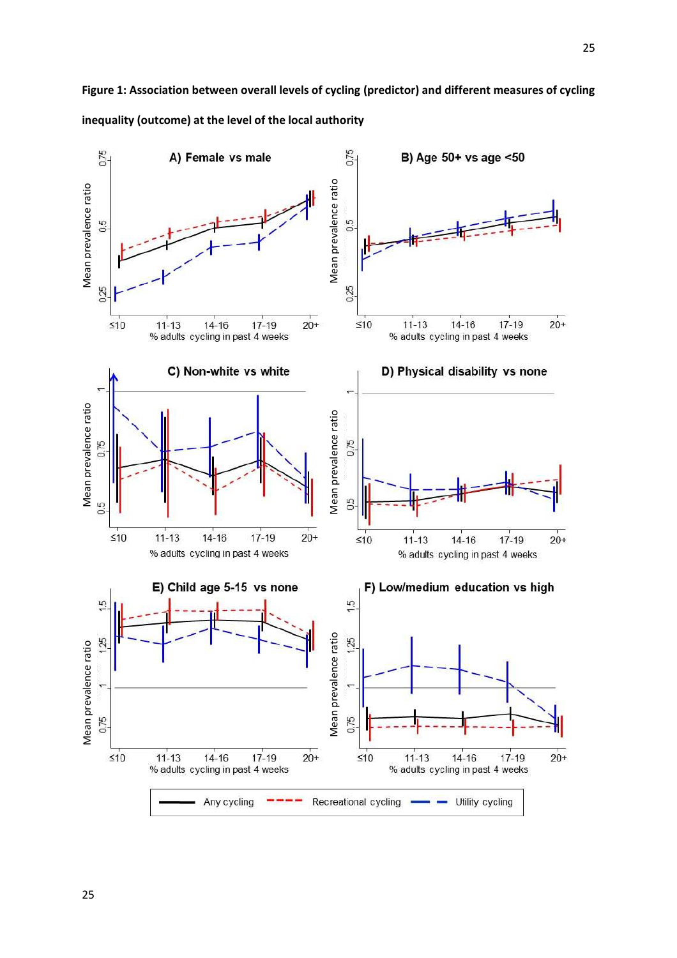

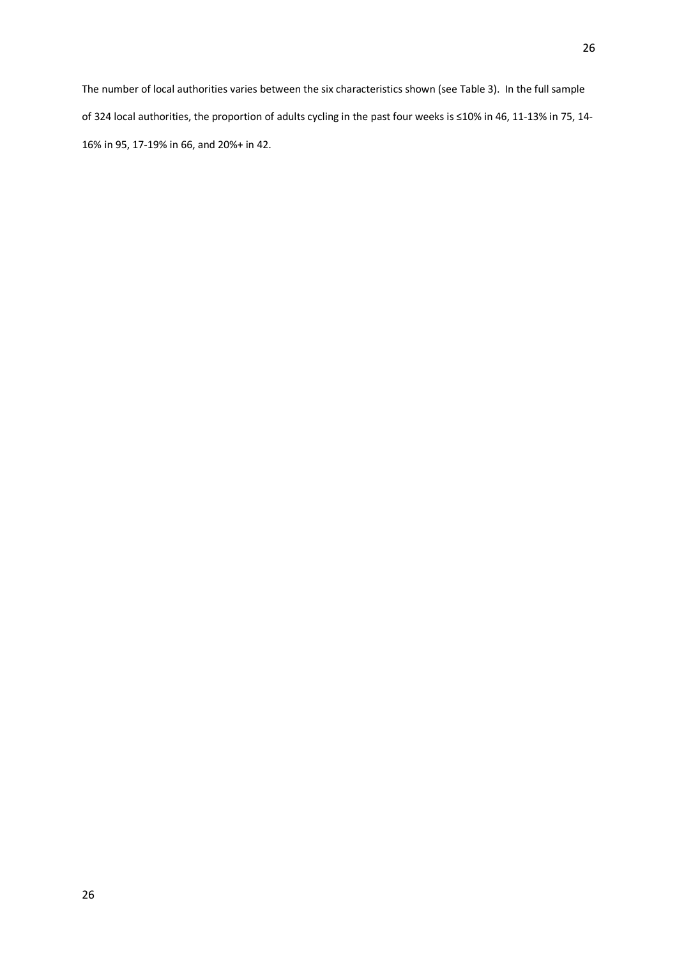26

The number of local authorities varies between the six characteristics shown (see Table 3). In the full sample of 324 local authorities, the proportion of adults cycling in the past four weeks is ≤10% in 46, 11-13% in 75, 14- 16% in 95, 17-19% in 66, and 20%+ in 42.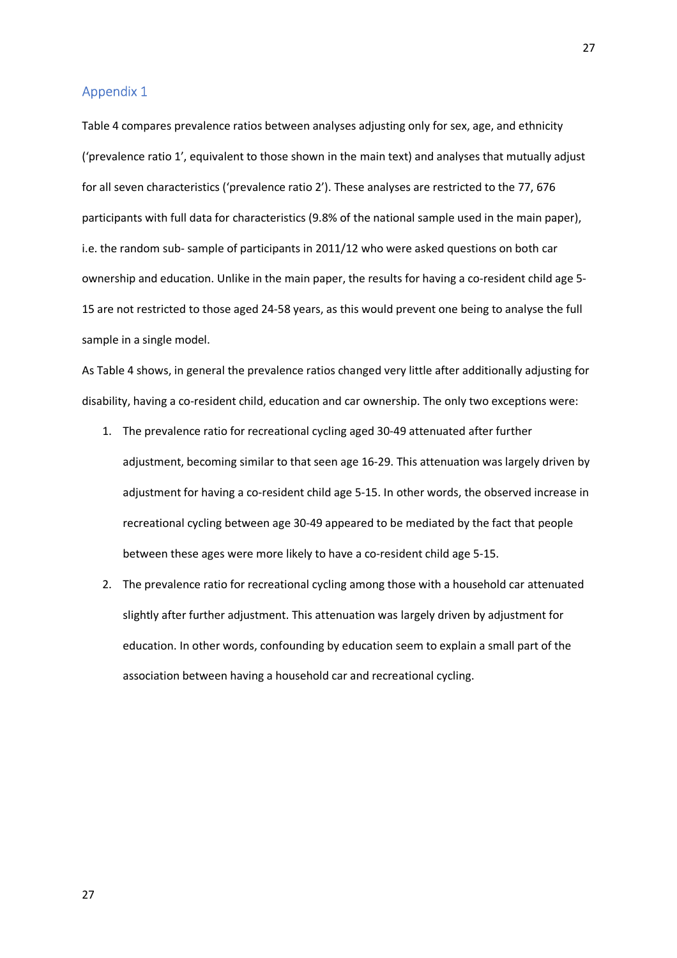### Appendix 1

Table 4 compares prevalence ratios between analyses adjusting only for sex, age, and ethnicity ('prevalence ratio 1', equivalent to those shown in the main text) and analyses that mutually adjust for all seven characteristics ('prevalence ratio 2'). These analyses are restricted to the 77, 676 participants with full data for characteristics (9.8% of the national sample used in the main paper), i.e. the random sub- sample of participants in 2011/12 who were asked questions on both car ownership and education. Unlike in the main paper, the results for having a co-resident child age 5- 15 are not restricted to those aged 24-58 years, as this would prevent one being to analyse the full sample in a single model.

As Table 4 shows, in general the prevalence ratios changed very little after additionally adjusting for disability, having a co-resident child, education and car ownership. The only two exceptions were:

- 1. The prevalence ratio for recreational cycling aged 30-49 attenuated after further adjustment, becoming similar to that seen age 16-29. This attenuation was largely driven by adjustment for having a co-resident child age 5-15. In other words, the observed increase in recreational cycling between age 30-49 appeared to be mediated by the fact that people between these ages were more likely to have a co-resident child age 5-15.
- 2. The prevalence ratio for recreational cycling among those with a household car attenuated slightly after further adjustment. This attenuation was largely driven by adjustment for education. In other words, confounding by education seem to explain a small part of the association between having a household car and recreational cycling.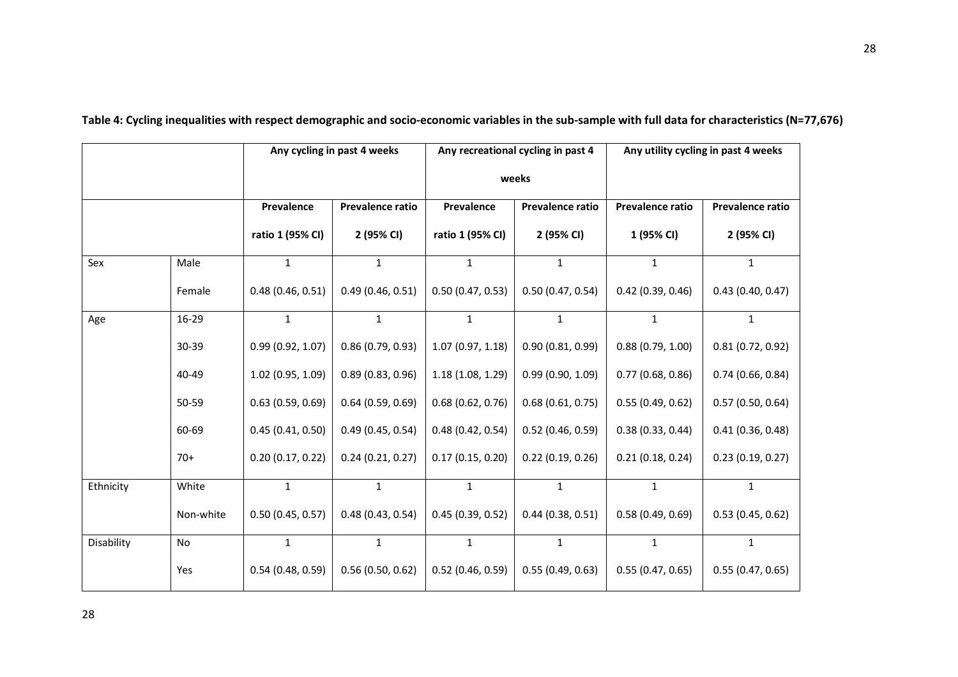|            |           | Any cycling in past 4 weeks |                  |                  | Any recreational cycling in past 4 | Any utility cycling in past 4 weeks |                  |
|------------|-----------|-----------------------------|------------------|------------------|------------------------------------|-------------------------------------|------------------|
|            |           |                             |                  | weeks            |                                    |                                     |                  |
|            |           | Prevalence                  | Prevalence ratio | Prevalence       | Prevalence ratio                   | Prevalence ratio                    | Prevalence ratio |
|            |           | ratio 1 (95% CI)            | 2 (95% CI)       | ratio 1 (95% CI) | 2 (95% CI)                         | 1 (95% CI)                          | 2 (95% CI)       |
| Sex        | Male      | $\mathbf{1}$                | $\mathbf{1}$     | $\mathbf{1}$     | $\mathbf{1}$                       | $\mathbf{1}$                        | $\mathbf{1}$     |
|            | Female    | 0.48(0.46, 0.51)            | 0.49(0.46, 0.51) | 0.50(0.47, 0.53) | 0.50(0.47, 0.54)                   | 0.42(0.39, 0.46)                    | 0.43(0.40, 0.47) |
| Age        | $16 - 29$ | $\mathbf{1}$                | $\mathbf{1}$     | $\mathbf{1}$     | $\mathbf{1}$                       | $\mathbf{1}$                        | $\mathbf{1}$     |
|            | 30-39     | 0.99(0.92, 1.07)            | 0.86(0.79, 0.93) | 1.07(0.97, 1.18) | 0.90(0.81, 0.99)                   | 0.88(0.79, 1.00)                    | 0.81(0.72, 0.92) |
|            | 40-49     | 1.02(0.95, 1.09)            | 0.89(0.83, 0.96) | 1.18(1.08, 1.29) | 0.99(0.90, 1.09)                   | 0.77(0.68, 0.86)                    | 0.74(0.66, 0.84) |
|            | 50-59     | 0.63(0.59, 0.69)            | 0.64(0.59, 0.69) | 0.68(0.62, 0.76) | 0.68(0.61, 0.75)                   | 0.55(0.49, 0.62)                    | 0.57(0.50, 0.64) |
|            | 60-69     | 0.45(0.41, 0.50)            | 0.49(0.45, 0.54) | 0.48(0.42, 0.54) | $0.52$ (0.46, 0.59)                | 0.38(0.33, 0.44)                    | 0.41(0.36, 0.48) |
|            | $70+$     | 0.20(0.17, 0.22)            | 0.24(0.21, 0.27) | 0.17(0.15, 0.20) | 0.22(0.19, 0.26)                   | 0.21(0.18, 0.24)                    | 0.23(0.19, 0.27) |
| Ethnicity  | White     | $\mathbf{1}$                | $\mathbf{1}$     | $\mathbf{1}$     | $\mathbf{1}$                       | $\mathbf{1}$                        | $\mathbf{1}$     |
|            | Non-white | 0.50(0.45, 0.57)            | 0.48(0.43, 0.54) | 0.45(0.39, 0.52) | 0.44(0.38, 0.51)                   | 0.58(0.49, 0.69)                    | 0.53(0.45, 0.62) |
| Disability | No        | $\mathbf{1}$                | $\mathbf{1}$     | $\mathbf{1}$     | $\mathbf{1}$                       | $\mathbf{1}$                        | $\mathbf{1}$     |
|            | Yes       | 0.54(0.48, 0.59)            | 0.56(0.50, 0.62) | 0.52(0.46, 0.59) | 0.55(0.49, 0.63)                   | 0.55(0.47, 0.65)                    | 0.55(0.47, 0.65) |

**Table 4: Cycling inequalities with respect demographic and socio-economic variables in the sub-sample with full data for characteristics (N=77,676)**